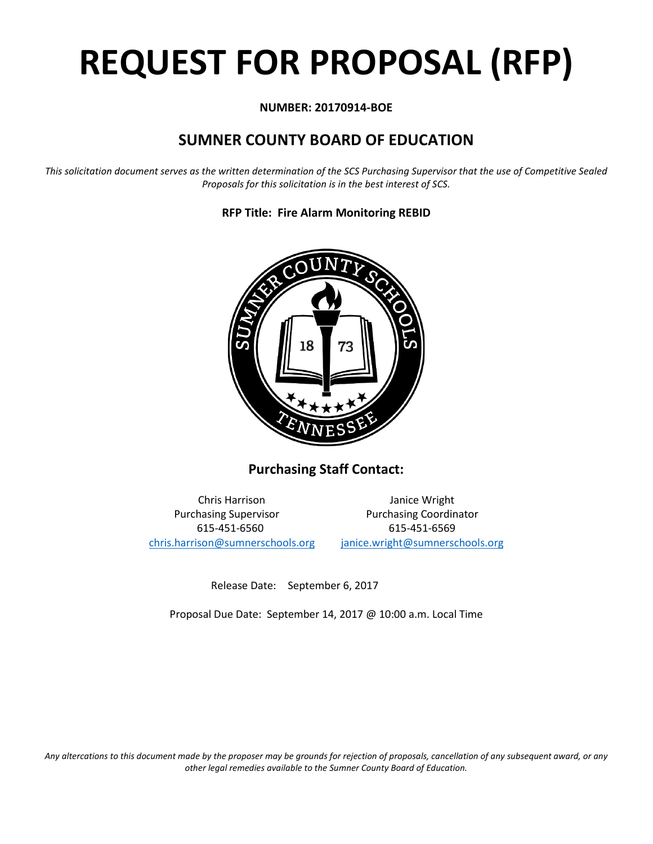# **REQUEST FOR PROPOSAL (RFP)**

# **NUMBER: 20170914-BOE**

# **SUMNER COUNTY BOARD OF EDUCATION**

*This solicitation document serves as the written determination of the SCS Purchasing Supervisor that the use of Competitive Sealed Proposals for this solicitation is in the best interest of SCS.*

**RFP Title: Fire Alarm Monitoring REBID**



**Purchasing Staff Contact:**

Chris Harrison Janice Wright Purchasing Supervisor **Purchasing Coordinator** 615-451-6560 615-451-6569 [chris.harrison@sumnerschools.org](mailto:chris.harrison@sumnerschools.org) [janice.wright@sumnerschools.org](mailto:janice.wright@sumnerschools.org)

Release Date: September 6, 2017

Proposal Due Date: September 14, 2017 @ 10:00 a.m. Local Time

*Any altercations to this document made by the proposer may be grounds for rejection of proposals, cancellation of any subsequent award, or any other legal remedies available to the Sumner County Board of Education.*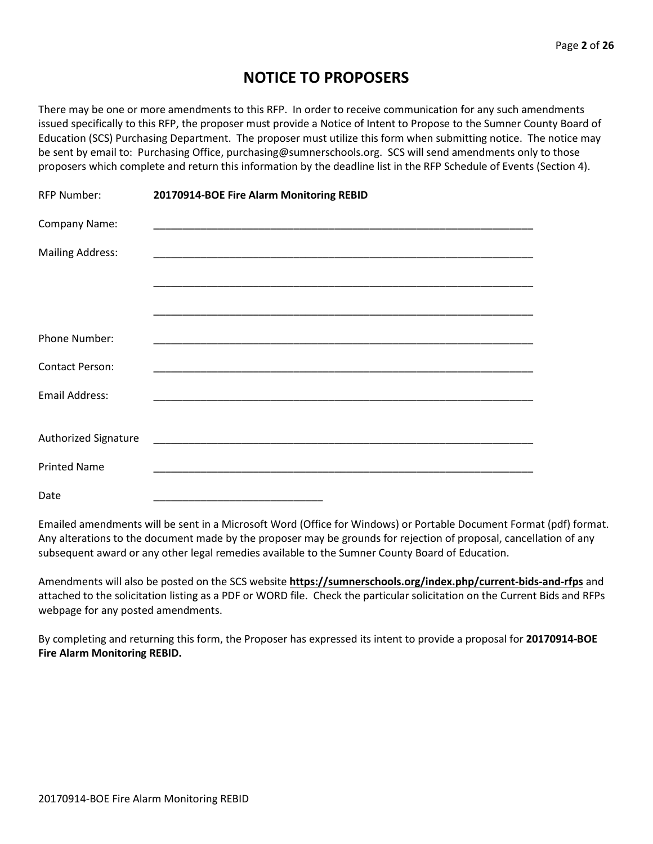# **NOTICE TO PROPOSERS**

There may be one or more amendments to this RFP. In order to receive communication for any such amendments issued specifically to this RFP, the proposer must provide a Notice of Intent to Propose to the Sumner County Board of Education (SCS) Purchasing Department. The proposer must utilize this form when submitting notice. The notice may be sent by email to: Purchasing Office, purchasing@sumnerschools.org. SCS will send amendments only to those proposers which complete and return this information by the deadline list in the RFP Schedule of Events (Section 4).

| <b>RFP Number:</b>          | 20170914-BOE Fire Alarm Monitoring REBID |  |
|-----------------------------|------------------------------------------|--|
| Company Name:               |                                          |  |
| <b>Mailing Address:</b>     |                                          |  |
|                             |                                          |  |
|                             |                                          |  |
| <b>Phone Number:</b>        |                                          |  |
| <b>Contact Person:</b>      |                                          |  |
| <b>Email Address:</b>       |                                          |  |
|                             |                                          |  |
| <b>Authorized Signature</b> |                                          |  |
| <b>Printed Name</b>         |                                          |  |
| Date                        |                                          |  |

Emailed amendments will be sent in a Microsoft Word (Office for Windows) or Portable Document Format (pdf) format. Any alterations to the document made by the proposer may be grounds for rejection of proposal, cancellation of any subsequent award or any other legal remedies available to the Sumner County Board of Education.

Amendments will also be posted on the SCS website **https://sumnerschools.org/index.php/current-bids-and-rfps** and attached to the solicitation listing as a PDF or WORD file. Check the particular solicitation on the Current Bids and RFPs webpage for any posted amendments.

By completing and returning this form, the Proposer has expressed its intent to provide a proposal for **20170914-BOE Fire Alarm Monitoring REBID.**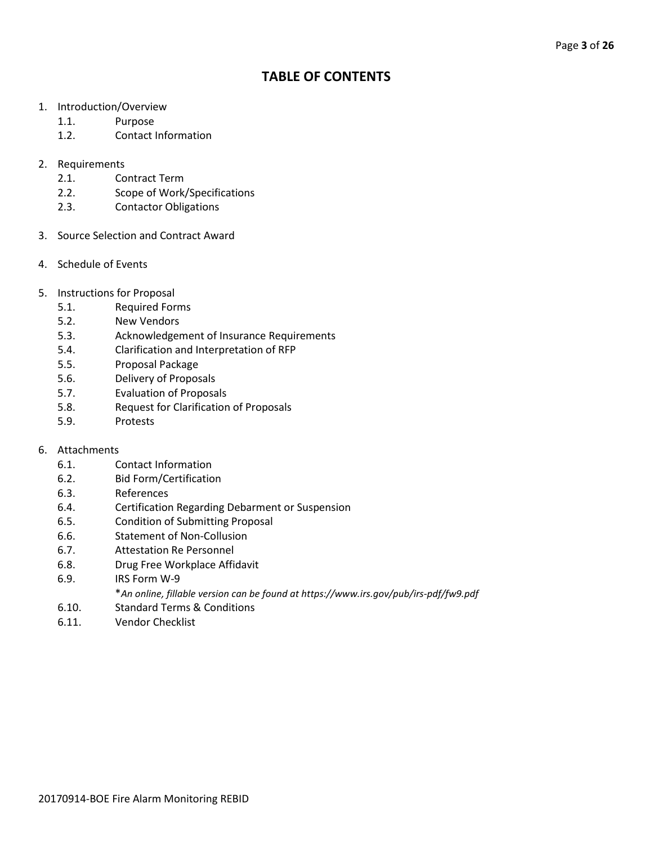# **TABLE OF CONTENTS**

- 1. Introduction/Overview
	- 1.1. Purpose
	- 1.2. Contact Information
- 2. Requirements
	- 2.1. Contract Term
	- 2.2. Scope of Work/Specifications
	- 2.3. Contactor Obligations
- 3. Source Selection and Contract Award
- 4. Schedule of Events
- 5. Instructions for Proposal
	- 5.1. Required Forms
	- 5.2. New Vendors
	- 5.3. Acknowledgement of Insurance Requirements
	- 5.4. Clarification and Interpretation of RFP
	- 5.5. Proposal Package
	- 5.6. Delivery of Proposals
	- 5.7. Evaluation of Proposals
	- 5.8. Request for Clarification of Proposals
	- 5.9. Protests

#### 6. Attachments

- 6.1. Contact Information
- 6.2. Bid Form/Certification
- 6.3. References
- 6.4. Certification Regarding Debarment or Suspension
- 6.5. Condition of Submitting Proposal
- 6.6. Statement of Non-Collusion
- 6.7. Attestation Re Personnel
- 6.8. Drug Free Workplace Affidavit
- 6.9. IRS Form W-9
	- \**An online, fillable version can be found at https://www.irs.gov/pub/irs-pdf/fw9.pdf*
- 6.10. Standard Terms & Conditions
- 6.11. Vendor Checklist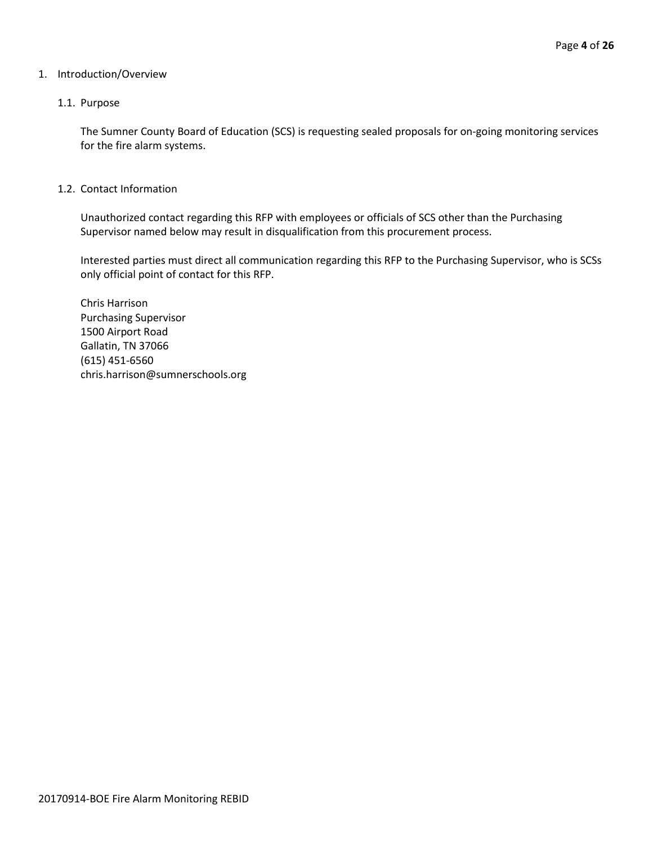#### 1. Introduction/Overview

#### 1.1. Purpose

The Sumner County Board of Education (SCS) is requesting sealed proposals for on-going monitoring services for the fire alarm systems.

1.2. Contact Information

Unauthorized contact regarding this RFP with employees or officials of SCS other than the Purchasing Supervisor named below may result in disqualification from this procurement process.

Interested parties must direct all communication regarding this RFP to the Purchasing Supervisor, who is SCSs only official point of contact for this RFP.

Chris Harrison Purchasing Supervisor 1500 Airport Road Gallatin, TN 37066 (615) 451-6560 chris.harrison@sumnerschools.org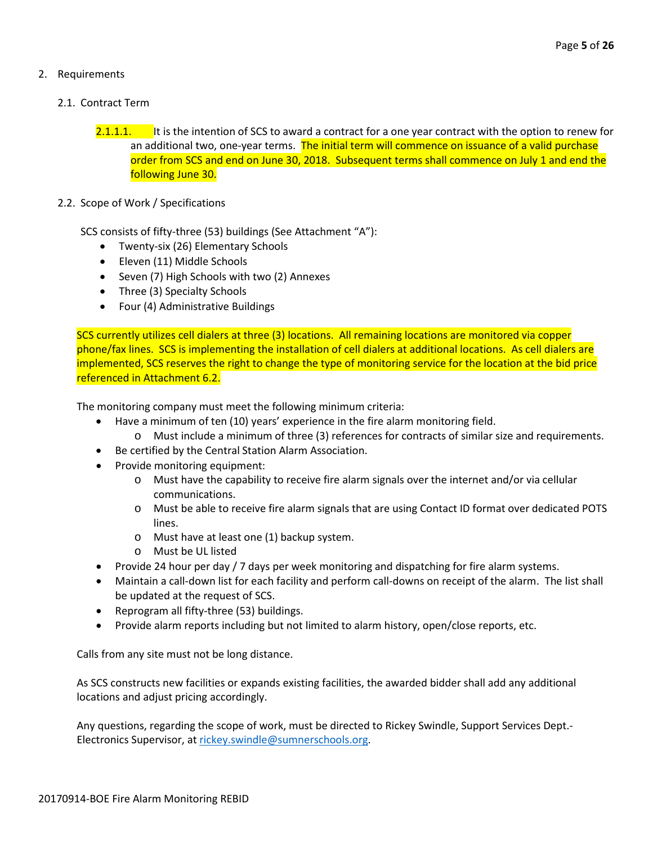## 2. Requirements

### 2.1. Contract Term

- 2.1.1.1. It is the intention of SCS to award a contract for a one year contract with the option to renew for an additional two, one-year terms. The initial term will commence on issuance of a valid purchase order from SCS and end on June 30, 2018. Subsequent terms shall commence on July 1 and end the following June 30.
- 2.2. Scope of Work / Specifications

SCS consists of fifty-three (53) buildings (See Attachment "A"):

- Twenty-six (26) Elementary Schools
- Eleven (11) Middle Schools
- Seven (7) High Schools with two (2) Annexes
- Three (3) Specialty Schools
- Four (4) Administrative Buildings

SCS currently utilizes cell dialers at three (3) locations. All remaining locations are monitored via copper phone/fax lines. SCS is implementing the installation of cell dialers at additional locations. As cell dialers are implemented, SCS reserves the right to change the type of monitoring service for the location at the bid price referenced in Attachment 6.2.

The monitoring company must meet the following minimum criteria:

- Have a minimum of ten (10) years' experience in the fire alarm monitoring field.
	- o Must include a minimum of three (3) references for contracts of similar size and requirements.
- Be certified by the Central Station Alarm Association.
- Provide monitoring equipment:
	- o Must have the capability to receive fire alarm signals over the internet and/or via cellular communications.
	- o Must be able to receive fire alarm signals that are using Contact ID format over dedicated POTS lines.
	- o Must have at least one (1) backup system.
	- o Must be UL listed
- Provide 24 hour per day / 7 days per week monitoring and dispatching for fire alarm systems.
- Maintain a call-down list for each facility and perform call-downs on receipt of the alarm. The list shall be updated at the request of SCS.
- Reprogram all fifty-three (53) buildings.
- Provide alarm reports including but not limited to alarm history, open/close reports, etc.

Calls from any site must not be long distance.

As SCS constructs new facilities or expands existing facilities, the awarded bidder shall add any additional locations and adjust pricing accordingly.

Any questions, regarding the scope of work, must be directed to Rickey Swindle, Support Services Dept.- Electronics Supervisor, at [rickey.swindle@sumnerschools.org.](mailto:rickey.swindle@sumnerschools.org)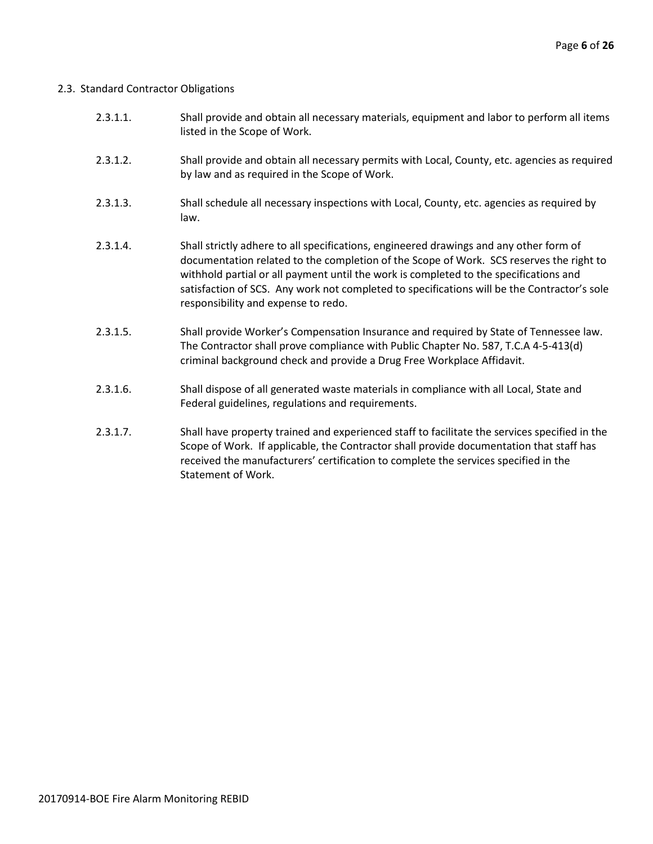#### 2.3. Standard Contractor Obligations

| 2.3.1.1. | Shall provide and obtain all necessary materials, equipment and labor to perform all items |
|----------|--------------------------------------------------------------------------------------------|
|          | listed in the Scope of Work.                                                               |

- 2.3.1.2. Shall provide and obtain all necessary permits with Local, County, etc. agencies as required by law and as required in the Scope of Work.
- 2.3.1.3. Shall schedule all necessary inspections with Local, County, etc. agencies as required by law.
- 2.3.1.4. Shall strictly adhere to all specifications, engineered drawings and any other form of documentation related to the completion of the Scope of Work. SCS reserves the right to withhold partial or all payment until the work is completed to the specifications and satisfaction of SCS. Any work not completed to specifications will be the Contractor's sole responsibility and expense to redo.
- 2.3.1.5. Shall provide Worker's Compensation Insurance and required by State of Tennessee law. The Contractor shall prove compliance with Public Chapter No. 587, T.C.A 4-5-413(d) criminal background check and provide a Drug Free Workplace Affidavit.
- 2.3.1.6. Shall dispose of all generated waste materials in compliance with all Local, State and Federal guidelines, regulations and requirements.
- 2.3.1.7. Shall have property trained and experienced staff to facilitate the services specified in the Scope of Work. If applicable, the Contractor shall provide documentation that staff has received the manufacturers' certification to complete the services specified in the Statement of Work.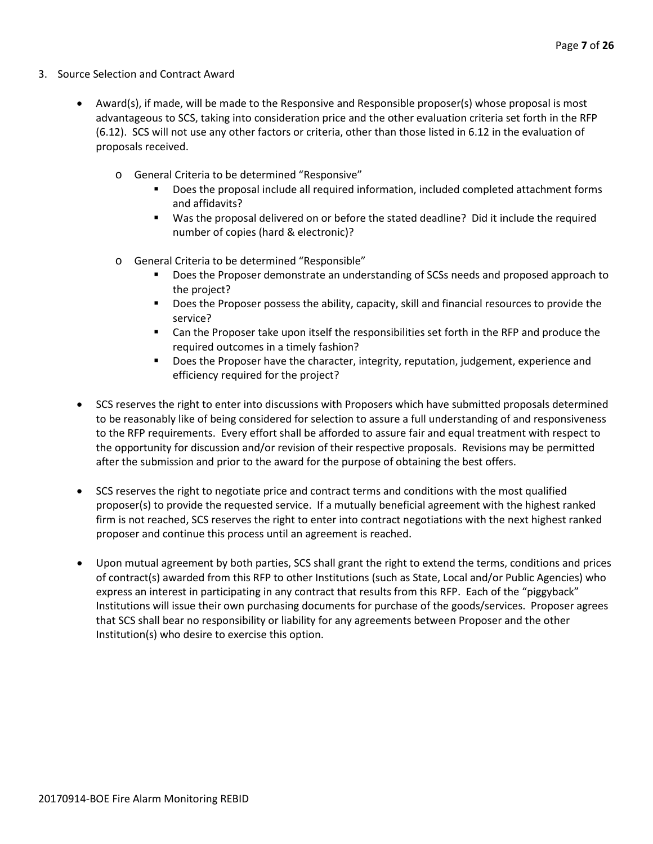- 3. Source Selection and Contract Award
	- Award(s), if made, will be made to the Responsive and Responsible proposer(s) whose proposal is most advantageous to SCS, taking into consideration price and the other evaluation criteria set forth in the RFP (6.12). SCS will not use any other factors or criteria, other than those listed in 6.12 in the evaluation of proposals received.
		- o General Criteria to be determined "Responsive"
			- Does the proposal include all required information, included completed attachment forms and affidavits?
			- Was the proposal delivered on or before the stated deadline? Did it include the required number of copies (hard & electronic)?
		- o General Criteria to be determined "Responsible"
			- Does the Proposer demonstrate an understanding of SCSs needs and proposed approach to the project?
			- **Does the Proposer possess the ability, capacity, skill and financial resources to provide the** service?
			- **EXEC** Can the Proposer take upon itself the responsibilities set forth in the RFP and produce the required outcomes in a timely fashion?
			- **Does the Proposer have the character, integrity, reputation, judgement, experience and** efficiency required for the project?
	- SCS reserves the right to enter into discussions with Proposers which have submitted proposals determined to be reasonably like of being considered for selection to assure a full understanding of and responsiveness to the RFP requirements. Every effort shall be afforded to assure fair and equal treatment with respect to the opportunity for discussion and/or revision of their respective proposals. Revisions may be permitted after the submission and prior to the award for the purpose of obtaining the best offers.
	- SCS reserves the right to negotiate price and contract terms and conditions with the most qualified proposer(s) to provide the requested service. If a mutually beneficial agreement with the highest ranked firm is not reached, SCS reserves the right to enter into contract negotiations with the next highest ranked proposer and continue this process until an agreement is reached.
	- Upon mutual agreement by both parties, SCS shall grant the right to extend the terms, conditions and prices of contract(s) awarded from this RFP to other Institutions (such as State, Local and/or Public Agencies) who express an interest in participating in any contract that results from this RFP. Each of the "piggyback" Institutions will issue their own purchasing documents for purchase of the goods/services. Proposer agrees that SCS shall bear no responsibility or liability for any agreements between Proposer and the other Institution(s) who desire to exercise this option.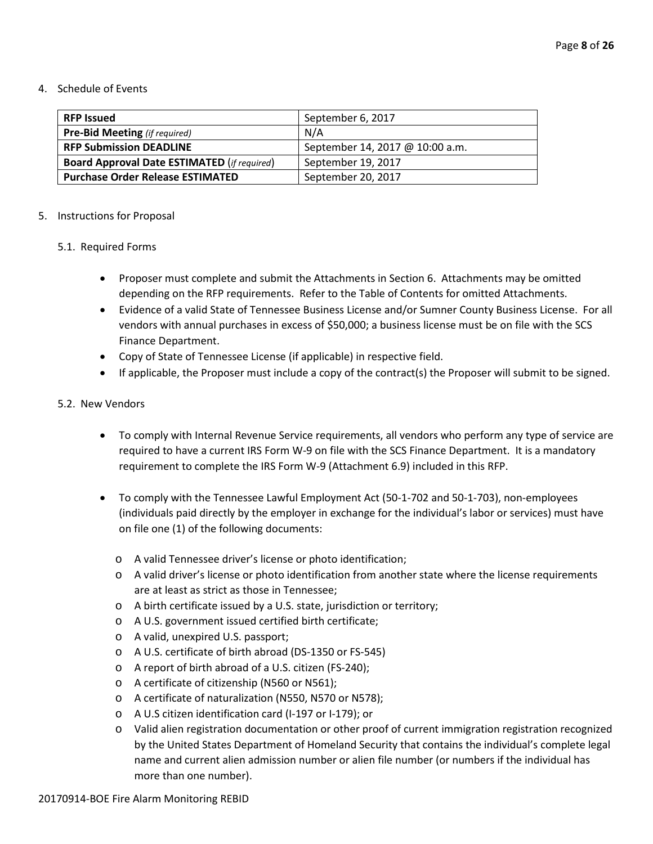#### 4. Schedule of Events

| <b>RFP Issued</b>                                  | September 6, 2017               |
|----------------------------------------------------|---------------------------------|
| <b>Pre-Bid Meeting</b> (if required)               | N/A                             |
| <b>RFP Submission DEADLINE</b>                     | September 14, 2017 @ 10:00 a.m. |
| <b>Board Approval Date ESTIMATED (if required)</b> | September 19, 2017              |
| <b>Purchase Order Release ESTIMATED</b>            | September 20, 2017              |

#### 5. Instructions for Proposal

#### 5.1. Required Forms

- Proposer must complete and submit the Attachments in Section 6. Attachments may be omitted depending on the RFP requirements. Refer to the Table of Contents for omitted Attachments.
- Evidence of a valid State of Tennessee Business License and/or Sumner County Business License. For all vendors with annual purchases in excess of \$50,000; a business license must be on file with the SCS Finance Department.
- Copy of State of Tennessee License (if applicable) in respective field.
- If applicable, the Proposer must include a copy of the contract(s) the Proposer will submit to be signed.

#### 5.2. New Vendors

- To comply with Internal Revenue Service requirements, all vendors who perform any type of service are required to have a current IRS Form W-9 on file with the SCS Finance Department. It is a mandatory requirement to complete the IRS Form W-9 (Attachment 6.9) included in this RFP.
- To comply with the Tennessee Lawful Employment Act (50-1-702 and 50-1-703), non-employees (individuals paid directly by the employer in exchange for the individual's labor or services) must have on file one (1) of the following documents:
	- o A valid Tennessee driver's license or photo identification;
	- o A valid driver's license or photo identification from another state where the license requirements are at least as strict as those in Tennessee;
	- o A birth certificate issued by a U.S. state, jurisdiction or territory;
	- o A U.S. government issued certified birth certificate;
	- o A valid, unexpired U.S. passport;
	- o A U.S. certificate of birth abroad (DS-1350 or FS-545)
	- o A report of birth abroad of a U.S. citizen (FS-240);
	- o A certificate of citizenship (N560 or N561);
	- o A certificate of naturalization (N550, N570 or N578);
	- o A U.S citizen identification card (I-197 or I-179); or
	- o Valid alien registration documentation or other proof of current immigration registration recognized by the United States Department of Homeland Security that contains the individual's complete legal name and current alien admission number or alien file number (or numbers if the individual has more than one number).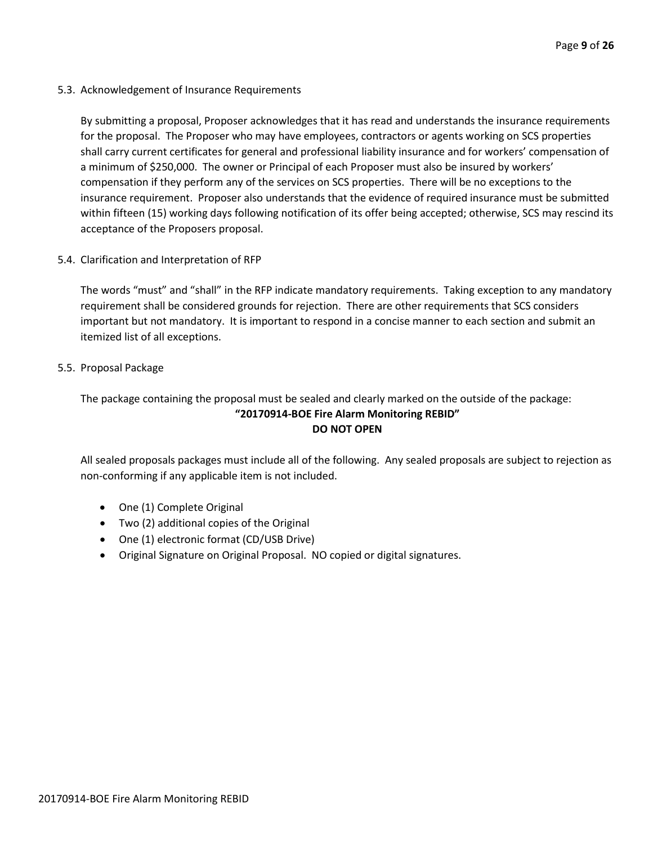5.3. Acknowledgement of Insurance Requirements

By submitting a proposal, Proposer acknowledges that it has read and understands the insurance requirements for the proposal. The Proposer who may have employees, contractors or agents working on SCS properties shall carry current certificates for general and professional liability insurance and for workers' compensation of a minimum of \$250,000. The owner or Principal of each Proposer must also be insured by workers' compensation if they perform any of the services on SCS properties. There will be no exceptions to the insurance requirement. Proposer also understands that the evidence of required insurance must be submitted within fifteen (15) working days following notification of its offer being accepted; otherwise, SCS may rescind its acceptance of the Proposers proposal.

5.4. Clarification and Interpretation of RFP

The words "must" and "shall" in the RFP indicate mandatory requirements. Taking exception to any mandatory requirement shall be considered grounds for rejection. There are other requirements that SCS considers important but not mandatory. It is important to respond in a concise manner to each section and submit an itemized list of all exceptions.

5.5. Proposal Package

The package containing the proposal must be sealed and clearly marked on the outside of the package:

# **"20170914-BOE Fire Alarm Monitoring REBID" DO NOT OPEN**

All sealed proposals packages must include all of the following. Any sealed proposals are subject to rejection as non-conforming if any applicable item is not included.

- One (1) Complete Original
- Two (2) additional copies of the Original
- One (1) electronic format (CD/USB Drive)
- Original Signature on Original Proposal. NO copied or digital signatures.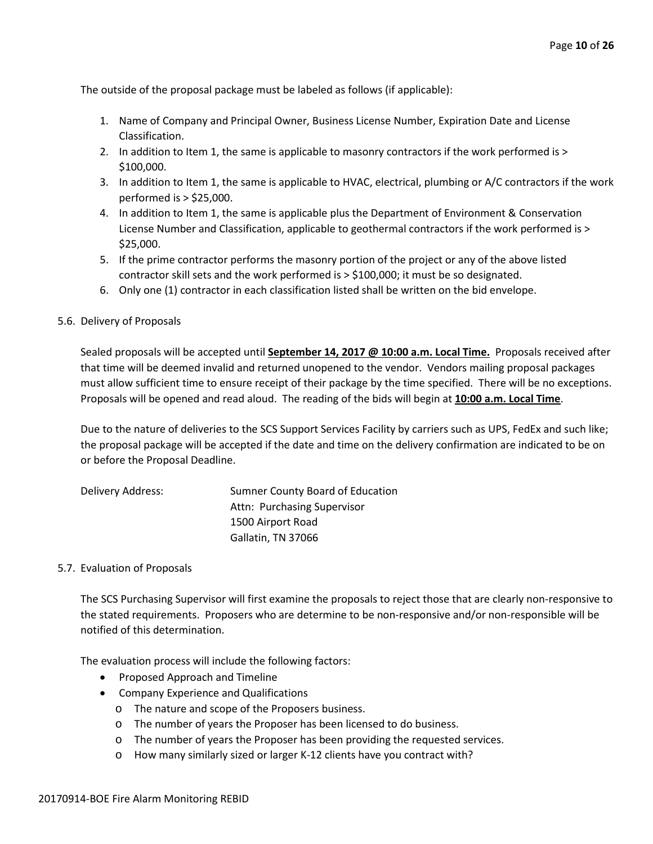The outside of the proposal package must be labeled as follows (if applicable):

- 1. Name of Company and Principal Owner, Business License Number, Expiration Date and License Classification.
- 2. In addition to Item 1, the same is applicable to masonry contractors if the work performed is > \$100,000.
- 3. In addition to Item 1, the same is applicable to HVAC, electrical, plumbing or A/C contractors if the work performed is > \$25,000.
- 4. In addition to Item 1, the same is applicable plus the Department of Environment & Conservation License Number and Classification, applicable to geothermal contractors if the work performed is > \$25,000.
- 5. If the prime contractor performs the masonry portion of the project or any of the above listed contractor skill sets and the work performed is > \$100,000; it must be so designated.
- 6. Only one (1) contractor in each classification listed shall be written on the bid envelope.

#### 5.6. Delivery of Proposals

Sealed proposals will be accepted until **September 14, 2017 @ 10:00 a.m. Local Time.** Proposals received after that time will be deemed invalid and returned unopened to the vendor. Vendors mailing proposal packages must allow sufficient time to ensure receipt of their package by the time specified. There will be no exceptions. Proposals will be opened and read aloud. The reading of the bids will begin at **10:00 a.m. Local Time**.

Due to the nature of deliveries to the SCS Support Services Facility by carriers such as UPS, FedEx and such like; the proposal package will be accepted if the date and time on the delivery confirmation are indicated to be on or before the Proposal Deadline.

| Delivery Address: | Sumner County Board of Education |
|-------------------|----------------------------------|
|                   | Attn: Purchasing Supervisor      |
|                   | 1500 Airport Road                |
|                   | Gallatin, TN 37066               |

#### 5.7. Evaluation of Proposals

The SCS Purchasing Supervisor will first examine the proposals to reject those that are clearly non-responsive to the stated requirements. Proposers who are determine to be non-responsive and/or non-responsible will be notified of this determination.

The evaluation process will include the following factors:

- Proposed Approach and Timeline
- Company Experience and Qualifications
	- o The nature and scope of the Proposers business.
	- o The number of years the Proposer has been licensed to do business.
	- o The number of years the Proposer has been providing the requested services.
	- o How many similarly sized or larger K-12 clients have you contract with?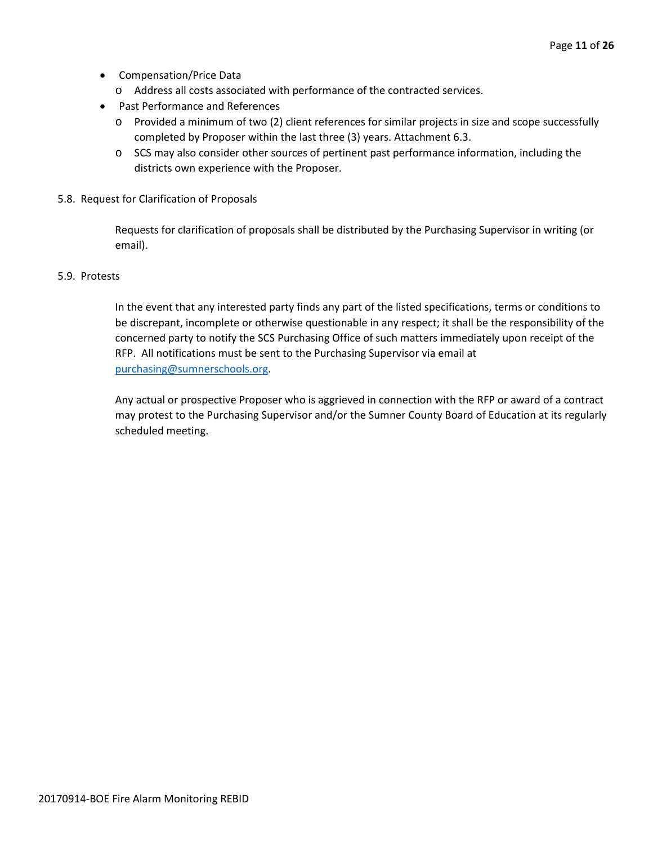- Compensation/Price Data
	- o Address all costs associated with performance of the contracted services.
- Past Performance and References
	- o Provided a minimum of two (2) client references for similar projects in size and scope successfully completed by Proposer within the last three (3) years. Attachment 6.3.
	- o SCS may also consider other sources of pertinent past performance information, including the districts own experience with the Proposer.
- 5.8. Request for Clarification of Proposals

Requests for clarification of proposals shall be distributed by the Purchasing Supervisor in writing (or email).

#### 5.9. Protests

In the event that any interested party finds any part of the listed specifications, terms or conditions to be discrepant, incomplete or otherwise questionable in any respect; it shall be the responsibility of the concerned party to notify the SCS Purchasing Office of such matters immediately upon receipt of the RFP. All notifications must be sent to the Purchasing Supervisor via email at [purchasing@sumnerschools.org.](mailto:purchasing@sumnerschools.org)

Any actual or prospective Proposer who is aggrieved in connection with the RFP or award of a contract may protest to the Purchasing Supervisor and/or the Sumner County Board of Education at its regularly scheduled meeting.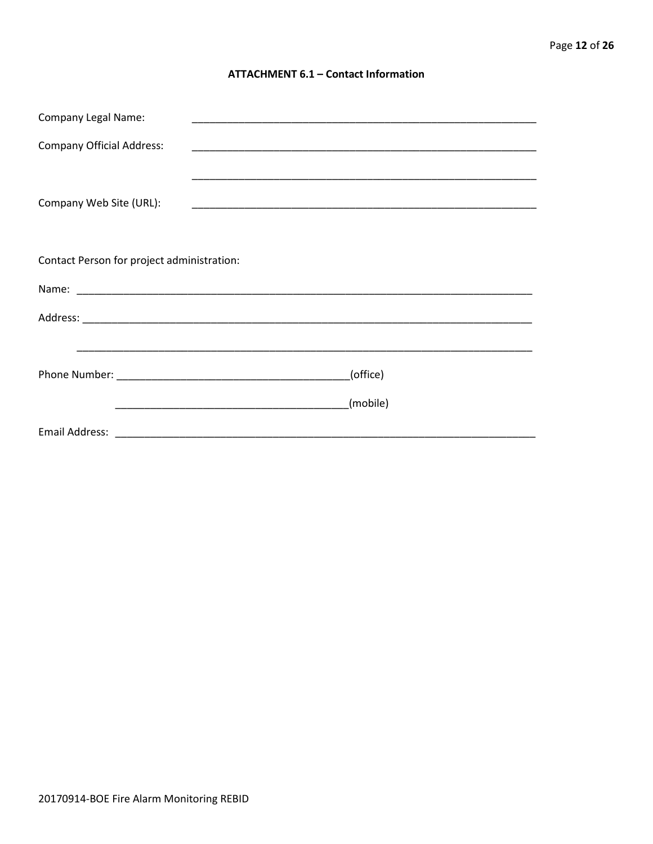#### **ATTACHMENT 6.1 - Contact Information**

| <b>Company Legal Name:</b>                 |          |
|--------------------------------------------|----------|
| <b>Company Official Address:</b>           |          |
|                                            |          |
| Company Web Site (URL):                    |          |
|                                            |          |
| Contact Person for project administration: |          |
|                                            |          |
|                                            |          |
|                                            |          |
|                                            | (office) |
|                                            | (mobile) |
|                                            |          |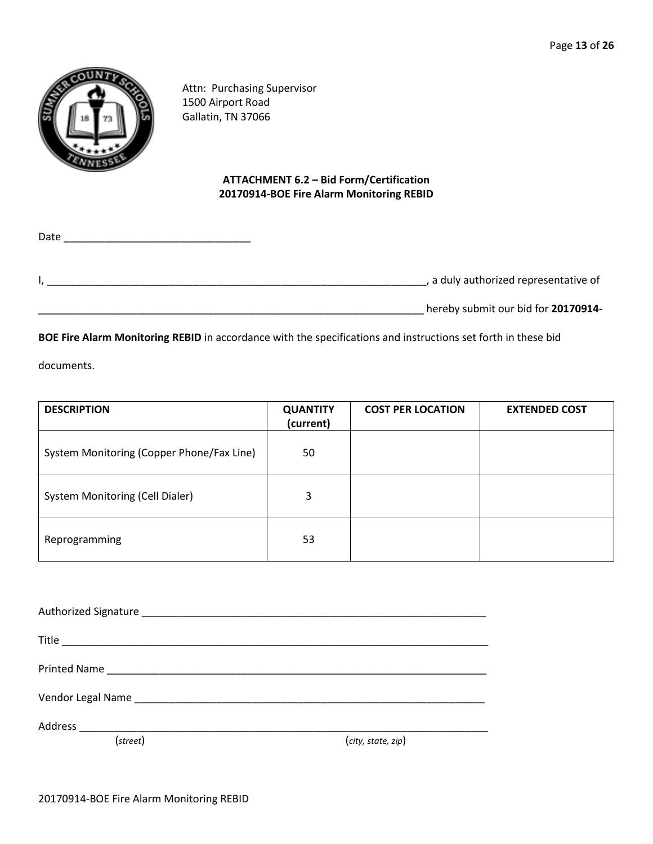

Attn: Purchasing Supervisor 1500 Airport Road Gallatin, TN 37066

## **ATTACHMENT 6.2 – Bid Form/Certification 20170914-BOE Fire Alarm Monitoring REBID**

| Date |                                       |
|------|---------------------------------------|
|      | , a duly authorized representative of |
|      | hereby submit our bid for 20170914-   |

**BOE Fire Alarm Monitoring REBID** in accordance with the specifications and instructions set forth in these bid

documents.

| <b>DESCRIPTION</b>                        | <b>QUANTITY</b><br>(current) | <b>COST PER LOCATION</b> | <b>EXTENDED COST</b> |
|-------------------------------------------|------------------------------|--------------------------|----------------------|
| System Monitoring (Copper Phone/Fax Line) | 50                           |                          |                      |
| <b>System Monitoring (Cell Dialer)</b>    | 3                            |                          |                      |
| Reprogramming                             | 53                           |                          |                      |

| (street) | (city, state, zip) |
|----------|--------------------|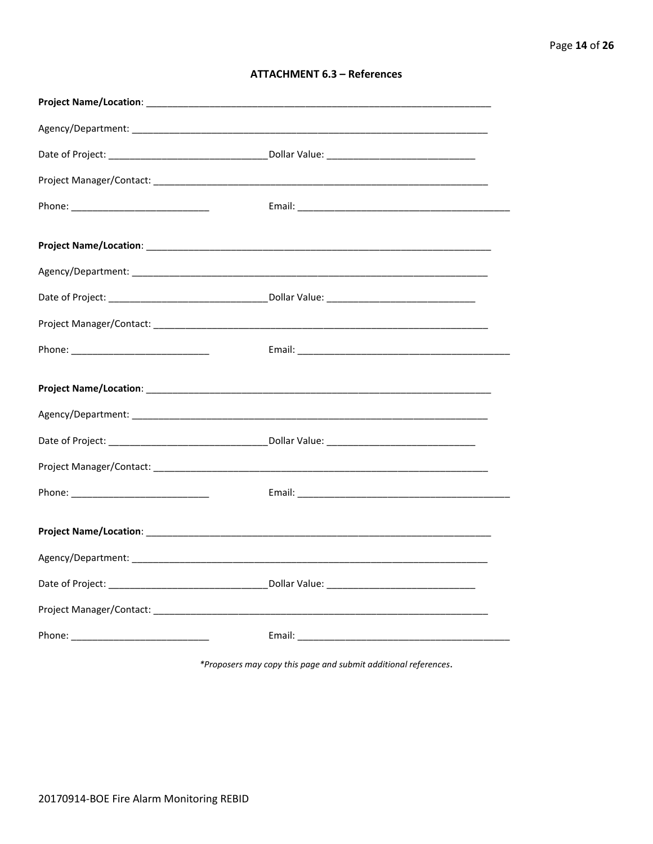| <b>ATTACHMENT 6.3 - References</b> |  |  |
|------------------------------------|--|--|
|------------------------------------|--|--|

\*Proposers may copy this page and submit additional references.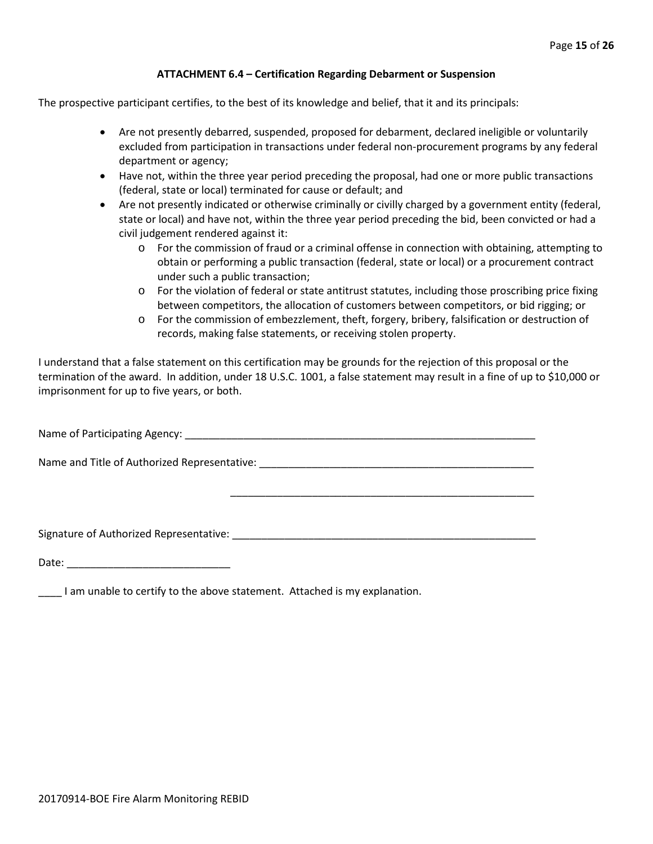#### **ATTACHMENT 6.4 – Certification Regarding Debarment or Suspension**

The prospective participant certifies, to the best of its knowledge and belief, that it and its principals:

- Are not presently debarred, suspended, proposed for debarment, declared ineligible or voluntarily excluded from participation in transactions under federal non-procurement programs by any federal department or agency;
- Have not, within the three year period preceding the proposal, had one or more public transactions (federal, state or local) terminated for cause or default; and
- Are not presently indicated or otherwise criminally or civilly charged by a government entity (federal, state or local) and have not, within the three year period preceding the bid, been convicted or had a civil judgement rendered against it:
	- o For the commission of fraud or a criminal offense in connection with obtaining, attempting to obtain or performing a public transaction (federal, state or local) or a procurement contract under such a public transaction;
	- o For the violation of federal or state antitrust statutes, including those proscribing price fixing between competitors, the allocation of customers between competitors, or bid rigging; or
	- o For the commission of embezzlement, theft, forgery, bribery, falsification or destruction of records, making false statements, or receiving stolen property.

\_\_\_\_\_\_\_\_\_\_\_\_\_\_\_\_\_\_\_\_\_\_\_\_\_\_\_\_\_\_\_\_\_\_\_\_\_\_\_\_\_\_\_\_\_\_\_\_\_\_\_\_

I understand that a false statement on this certification may be grounds for the rejection of this proposal or the termination of the award. In addition, under 18 U.S.C. 1001, a false statement may result in a fine of up to \$10,000 or imprisonment for up to five years, or both.

Name of Participating Agency: \_\_\_\_\_\_\_\_\_\_\_\_\_\_\_\_\_\_\_\_\_\_\_\_\_\_\_\_\_\_\_\_\_\_\_\_\_\_\_\_\_\_\_\_\_\_\_\_\_\_\_\_\_\_\_\_\_\_\_\_

Name and Title of Authorized Representative: \_\_\_\_\_\_\_\_\_\_\_\_\_\_\_\_\_\_\_\_\_\_\_\_\_\_\_\_\_\_\_\_\_\_\_\_\_\_\_\_\_\_\_\_\_\_\_

Signature of Authorized Representative: \_\_\_\_\_\_\_\_\_\_\_\_\_\_\_\_\_\_\_\_\_\_\_\_\_\_\_\_\_\_\_\_\_\_\_\_\_\_\_\_\_\_\_\_\_\_\_\_\_\_\_\_

Date: \_\_\_\_\_\_\_\_\_\_\_\_\_\_\_\_\_\_\_\_\_\_\_\_\_\_\_\_

\_\_\_\_ I am unable to certify to the above statement. Attached is my explanation.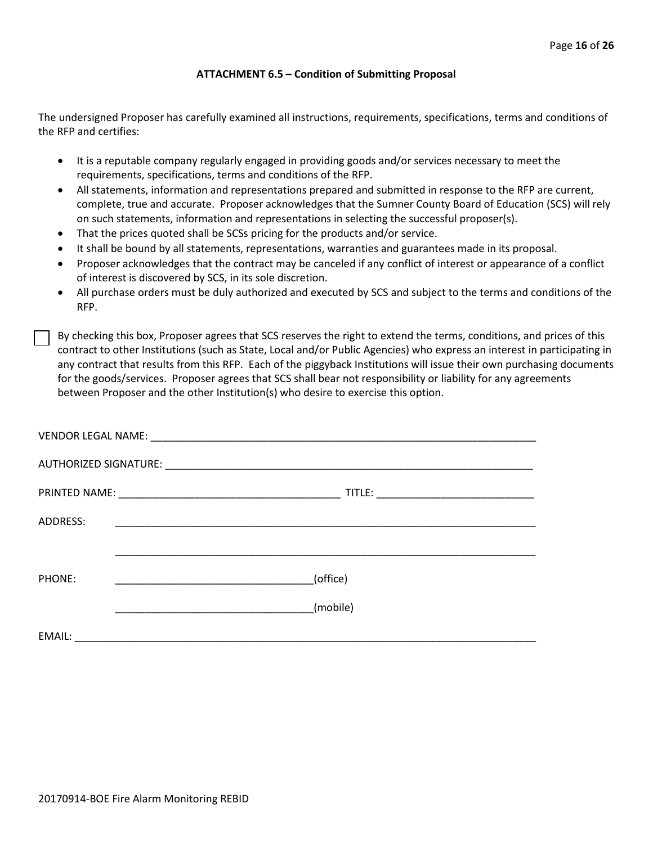#### **ATTACHMENT 6.5 – Condition of Submitting Proposal**

The undersigned Proposer has carefully examined all instructions, requirements, specifications, terms and conditions of the RFP and certifies:

- It is a reputable company regularly engaged in providing goods and/or services necessary to meet the requirements, specifications, terms and conditions of the RFP.
- All statements, information and representations prepared and submitted in response to the RFP are current, complete, true and accurate. Proposer acknowledges that the Sumner County Board of Education (SCS) will rely on such statements, information and representations in selecting the successful proposer(s).
- That the prices quoted shall be SCSs pricing for the products and/or service.
- It shall be bound by all statements, representations, warranties and guarantees made in its proposal.
- Proposer acknowledges that the contract may be canceled if any conflict of interest or appearance of a conflict of interest is discovered by SCS, in its sole discretion.
- All purchase orders must be duly authorized and executed by SCS and subject to the terms and conditions of the RFP.

By checking this box, Proposer agrees that SCS reserves the right to extend the terms, conditions, and prices of this contract to other Institutions (such as State, Local and/or Public Agencies) who express an interest in participating in any contract that results from this RFP. Each of the piggyback Institutions will issue their own purchasing documents for the goods/services. Proposer agrees that SCS shall bear not responsibility or liability for any agreements between Proposer and the other Institution(s) who desire to exercise this option.

| ADDRESS: |          |
|----------|----------|
|          |          |
| PHONE:   | (office) |
|          | (mobile) |
| EMAIL:   |          |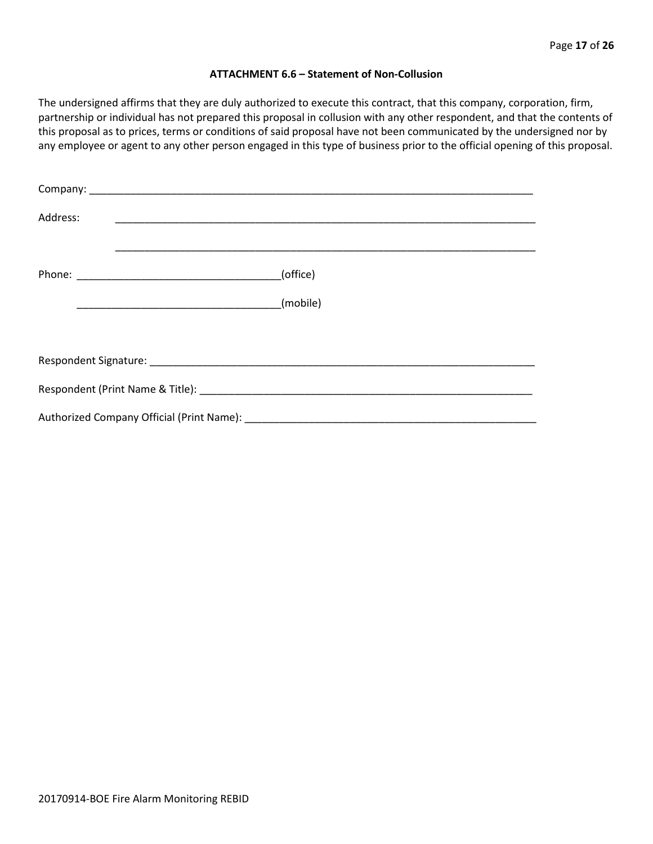#### **ATTACHMENT 6.6 – Statement of Non-Collusion**

The undersigned affirms that they are duly authorized to execute this contract, that this company, corporation, firm, partnership or individual has not prepared this proposal in collusion with any other respondent, and that the contents of this proposal as to prices, terms or conditions of said proposal have not been communicated by the undersigned nor by any employee or agent to any other person engaged in this type of business prior to the official opening of this proposal.

| Address: |          |
|----------|----------|
|          | (office) |
|          | (mobile) |
|          |          |
|          |          |
|          |          |
|          |          |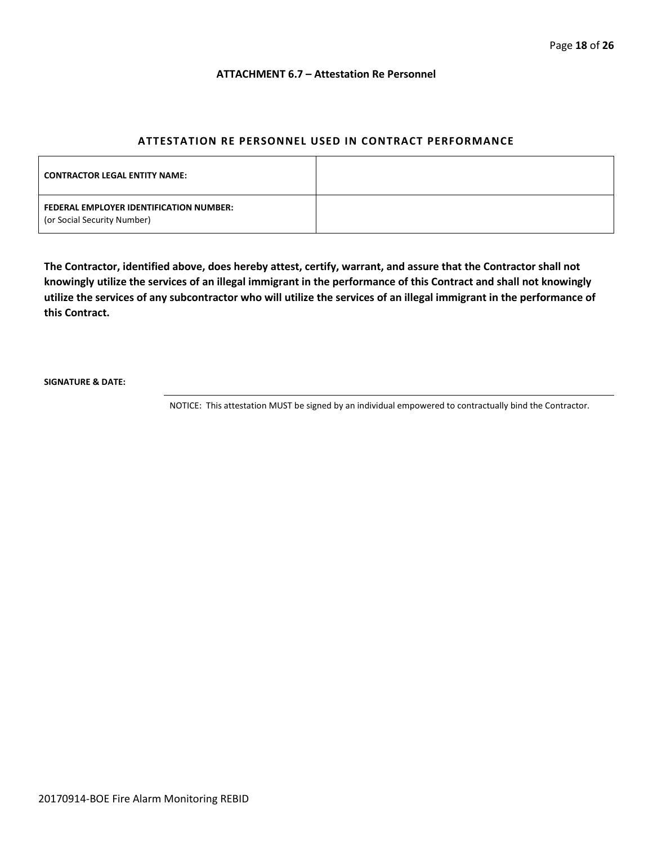#### **ATTACHMENT 6.7 – Attestation Re Personnel**

#### **ATTESTATION RE PERSONNEL USED IN CONTRACT PERFORMANCE**

| <b>CONTRACTOR LEGAL ENTITY NAME:</b>                                   |  |
|------------------------------------------------------------------------|--|
| FEDERAL EMPLOYER IDENTIFICATION NUMBER:<br>(or Social Security Number) |  |

**The Contractor, identified above, does hereby attest, certify, warrant, and assure that the Contractor shall not knowingly utilize the services of an illegal immigrant in the performance of this Contract and shall not knowingly utilize the services of any subcontractor who will utilize the services of an illegal immigrant in the performance of this Contract.**

**SIGNATURE & DATE:**

NOTICE: This attestation MUST be signed by an individual empowered to contractually bind the Contractor.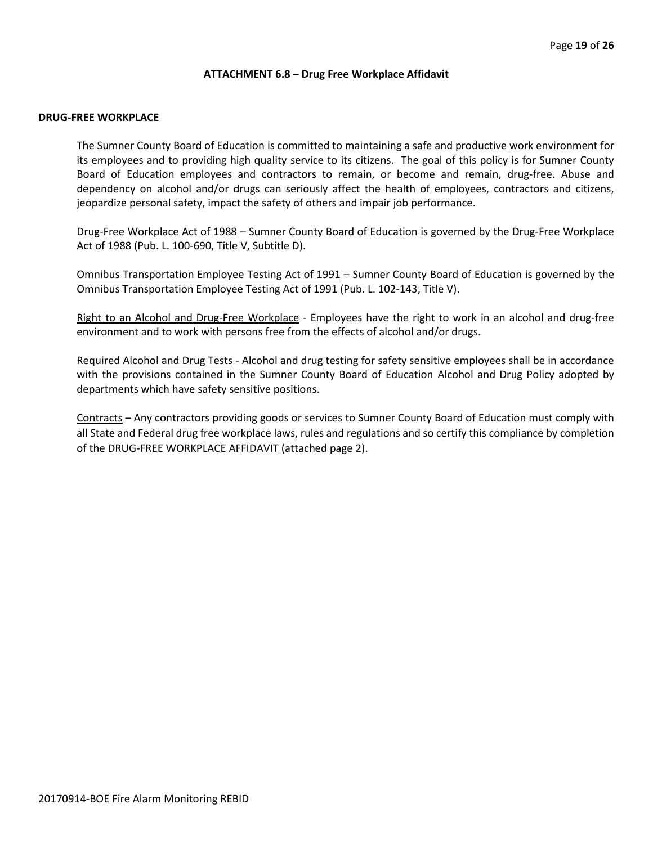#### **ATTACHMENT 6.8 – Drug Free Workplace Affidavit**

#### **DRUG-FREE WORKPLACE**

The Sumner County Board of Education is committed to maintaining a safe and productive work environment for its employees and to providing high quality service to its citizens. The goal of this policy is for Sumner County Board of Education employees and contractors to remain, or become and remain, drug-free. Abuse and dependency on alcohol and/or drugs can seriously affect the health of employees, contractors and citizens, jeopardize personal safety, impact the safety of others and impair job performance.

Drug-Free Workplace Act of 1988 – Sumner County Board of Education is governed by the Drug-Free Workplace Act of 1988 (Pub. L. 100-690, Title V, Subtitle D).

Omnibus Transportation Employee Testing Act of 1991 – Sumner County Board of Education is governed by the Omnibus Transportation Employee Testing Act of 1991 (Pub. L. 102-143, Title V).

Right to an Alcohol and Drug-Free Workplace - Employees have the right to work in an alcohol and drug-free environment and to work with persons free from the effects of alcohol and/or drugs.

Required Alcohol and Drug Tests - Alcohol and drug testing for safety sensitive employees shall be in accordance with the provisions contained in the Sumner County Board of Education Alcohol and Drug Policy adopted by departments which have safety sensitive positions.

Contracts – Any contractors providing goods or services to Sumner County Board of Education must comply with all State and Federal drug free workplace laws, rules and regulations and so certify this compliance by completion of the DRUG-FREE WORKPLACE AFFIDAVIT (attached page 2).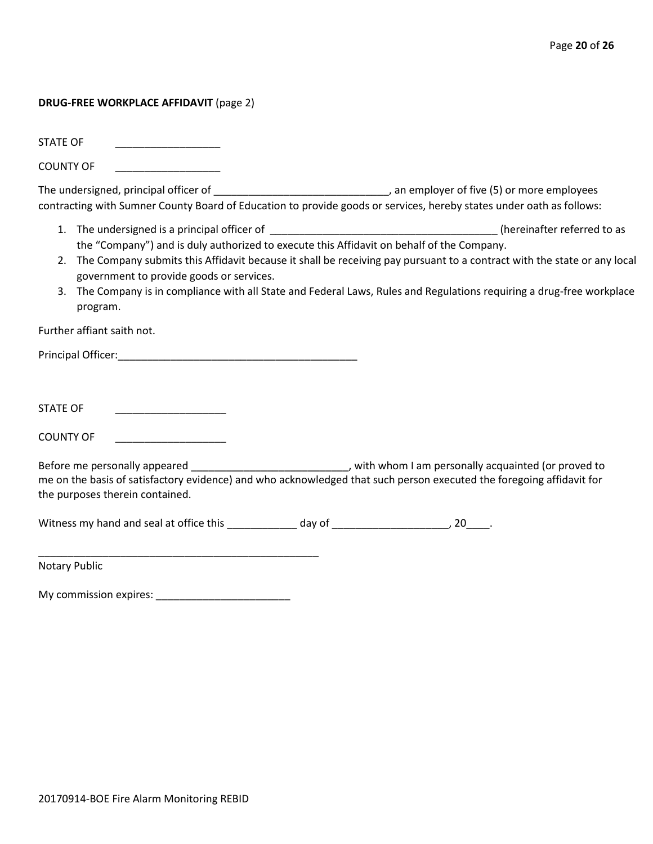#### **DRUG-FREE WORKPLACE AFFIDAVIT** (page 2)

STATE OF

COUNTY OF \_\_\_\_\_\_\_\_\_\_\_\_\_\_\_\_\_\_

The undersigned, principal officer of \_\_\_\_\_\_\_\_\_\_\_\_\_\_\_\_\_\_\_\_\_\_\_\_\_\_\_\_\_\_\_\_\_\_, an employer of five (5) or more employees contracting with Sumner County Board of Education to provide goods or services, hereby states under oath as follows:

- 1. The undersigned is a principal officer of the state of the state of the state of the state of the state of to as the "Company") and is duly authorized to execute this Affidavit on behalf of the Company.
- 2. The Company submits this Affidavit because it shall be receiving pay pursuant to a contract with the state or any local government to provide goods or services.
- 3. The Company is in compliance with all State and Federal Laws, Rules and Regulations requiring a drug-free workplace program.

Further affiant saith not.

Principal Officer:\_\_\_\_\_\_\_\_\_\_\_\_\_\_\_\_\_\_\_\_\_\_\_\_\_\_\_\_\_\_\_\_\_\_\_\_\_\_\_\_\_

STATE OF \_\_\_\_\_\_\_\_\_\_\_\_\_\_\_\_\_\_\_

COUNTY OF

Before me personally appeared \_\_\_\_\_\_\_\_\_\_\_\_\_\_\_\_\_\_\_\_\_\_\_\_\_\_\_\_\_\_, with whom I am personally acquainted (or proved to me on the basis of satisfactory evidence) and who acknowledged that such person executed the foregoing affidavit for the purposes therein contained.

Witness my hand and seal at office this \_\_\_\_\_\_\_\_\_\_\_\_\_ day of \_\_\_\_\_\_\_\_\_\_\_\_\_\_\_\_\_\_\_\_, 20\_\_\_\_.

Notary Public

My commission expires: \_\_\_\_\_\_\_\_\_\_\_\_\_\_\_\_\_\_\_\_\_\_\_

\_\_\_\_\_\_\_\_\_\_\_\_\_\_\_\_\_\_\_\_\_\_\_\_\_\_\_\_\_\_\_\_\_\_\_\_\_\_\_\_\_\_\_\_\_\_\_\_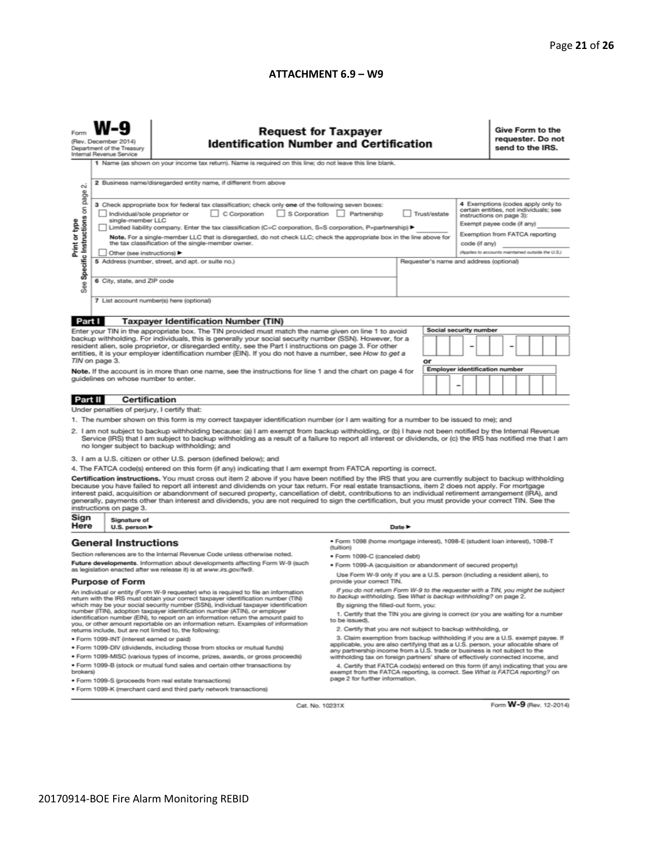#### **ATTACHMENT 6.9 – W9**

| $\sim$                                                                                                                                                                                                                                                                                                                                                                                                                                                                                                                                                                                                                                                                                                                                                                                                                                                                                                                                                                                                                  | <b>Request for Taxpayer</b><br><b>Identification Number and Certification</b><br>(Rev. December 2014)<br>Department of the Treasury<br>Internal Revenue Service<br>1 Name (as shown on your income tax return). Name is required on this line; do not leave this line blank.<br>2 Business name/disregarded entity name, if different from above                                                                                                                                                                                                                                                                                                                                                                                             |                                                                                                                                                                                                                                                                                                                                                                                                                                                                                                                                                                                                                                                                                                                                                                                                                                                                                                                                                                                                                                                                                                                                                                                                                                                                                                                                     |                                                                                                                                                                                                                                                                                                                                                                                                                                                                                                                                                                                                                                                                                                                                                                                                                                      |        |  |  |  | Give Form to the<br>requester. Do not<br>send to the IRS.                                                                                                                                                                    |  |  |  |  |  |
|-------------------------------------------------------------------------------------------------------------------------------------------------------------------------------------------------------------------------------------------------------------------------------------------------------------------------------------------------------------------------------------------------------------------------------------------------------------------------------------------------------------------------------------------------------------------------------------------------------------------------------------------------------------------------------------------------------------------------------------------------------------------------------------------------------------------------------------------------------------------------------------------------------------------------------------------------------------------------------------------------------------------------|----------------------------------------------------------------------------------------------------------------------------------------------------------------------------------------------------------------------------------------------------------------------------------------------------------------------------------------------------------------------------------------------------------------------------------------------------------------------------------------------------------------------------------------------------------------------------------------------------------------------------------------------------------------------------------------------------------------------------------------------|-------------------------------------------------------------------------------------------------------------------------------------------------------------------------------------------------------------------------------------------------------------------------------------------------------------------------------------------------------------------------------------------------------------------------------------------------------------------------------------------------------------------------------------------------------------------------------------------------------------------------------------------------------------------------------------------------------------------------------------------------------------------------------------------------------------------------------------------------------------------------------------------------------------------------------------------------------------------------------------------------------------------------------------------------------------------------------------------------------------------------------------------------------------------------------------------------------------------------------------------------------------------------------------------------------------------------------------|--------------------------------------------------------------------------------------------------------------------------------------------------------------------------------------------------------------------------------------------------------------------------------------------------------------------------------------------------------------------------------------------------------------------------------------------------------------------------------------------------------------------------------------------------------------------------------------------------------------------------------------------------------------------------------------------------------------------------------------------------------------------------------------------------------------------------------------|--------|--|--|--|------------------------------------------------------------------------------------------------------------------------------------------------------------------------------------------------------------------------------|--|--|--|--|--|
| page<br>Specific Instructions on<br>Print or type<br>æ<br>αñ                                                                                                                                                                                                                                                                                                                                                                                                                                                                                                                                                                                                                                                                                                                                                                                                                                                                                                                                                            | 3 Check appropriate box for federal tax classification; check only one of the following seven boxes:<br>C Corporation S Corporation Partnership<br>Trust/estate<br>Individual/sole proprietor or<br>single-member LLC<br>Limited liability company. Enter the tax classification (C=C corporation, S=S corporation, P=partnership) ▶<br>Note. For a single-member LLC that is disregarded, do not check LLC; check the appropriate box in the line above for<br>the tax classification of the single-member owner.<br>code (if any)<br>Other (see instructions) ▶<br>5 Address (number, street, and apt. or suite no.)<br>Requester's name and address (optional)<br>6 City, state, and ZIP code<br>7 List account number(s) here (optional) |                                                                                                                                                                                                                                                                                                                                                                                                                                                                                                                                                                                                                                                                                                                                                                                                                                                                                                                                                                                                                                                                                                                                                                                                                                                                                                                                     |                                                                                                                                                                                                                                                                                                                                                                                                                                                                                                                                                                                                                                                                                                                                                                                                                                      |        |  |  |  | 4 Exemptions (codes apply only to<br>certain entities, not individuals; see<br>instructions on page 3):<br>Exempt payee code (if any)<br>Exemption from FATCA reporting<br>(Applies to accounts maintained outside the U.S.) |  |  |  |  |  |
|                                                                                                                                                                                                                                                                                                                                                                                                                                                                                                                                                                                                                                                                                                                                                                                                                                                                                                                                                                                                                         |                                                                                                                                                                                                                                                                                                                                                                                                                                                                                                                                                                                                                                                                                                                                              |                                                                                                                                                                                                                                                                                                                                                                                                                                                                                                                                                                                                                                                                                                                                                                                                                                                                                                                                                                                                                                                                                                                                                                                                                                                                                                                                     |                                                                                                                                                                                                                                                                                                                                                                                                                                                                                                                                                                                                                                                                                                                                                                                                                                      |        |  |  |  |                                                                                                                                                                                                                              |  |  |  |  |  |
| Part I<br><b>Taxpayer Identification Number (TIN)</b><br><b>Social security number</b><br>Enter your TIN in the appropriate box. The TIN provided must match the name given on line 1 to avoid<br>backup withholding. For individuals, this is generally your social security number (SSN). However, for a<br>resident alien, sole proprietor, or disregarded entity, see the Part I instructions on page 3. For other<br>entities, it is your employer identification number (EIN). If you do not have a number, see How to get a<br>TIN on page 3.<br>or<br><b>Employer identification number</b><br>Note. If the account is in more than one name, see the instructions for line 1 and the chart on page 4 for<br>guidelines on whose number to enter.<br>-                                                                                                                                                                                                                                                          |                                                                                                                                                                                                                                                                                                                                                                                                                                                                                                                                                                                                                                                                                                                                              |                                                                                                                                                                                                                                                                                                                                                                                                                                                                                                                                                                                                                                                                                                                                                                                                                                                                                                                                                                                                                                                                                                                                                                                                                                                                                                                                     |                                                                                                                                                                                                                                                                                                                                                                                                                                                                                                                                                                                                                                                                                                                                                                                                                                      |        |  |  |  |                                                                                                                                                                                                                              |  |  |  |  |  |
| Part II                                                                                                                                                                                                                                                                                                                                                                                                                                                                                                                                                                                                                                                                                                                                                                                                                                                                                                                                                                                                                 | <b>Certification</b>                                                                                                                                                                                                                                                                                                                                                                                                                                                                                                                                                                                                                                                                                                                         |                                                                                                                                                                                                                                                                                                                                                                                                                                                                                                                                                                                                                                                                                                                                                                                                                                                                                                                                                                                                                                                                                                                                                                                                                                                                                                                                     |                                                                                                                                                                                                                                                                                                                                                                                                                                                                                                                                                                                                                                                                                                                                                                                                                                      |        |  |  |  |                                                                                                                                                                                                                              |  |  |  |  |  |
|                                                                                                                                                                                                                                                                                                                                                                                                                                                                                                                                                                                                                                                                                                                                                                                                                                                                                                                                                                                                                         | Under penalties of perjury, I certify that:                                                                                                                                                                                                                                                                                                                                                                                                                                                                                                                                                                                                                                                                                                  |                                                                                                                                                                                                                                                                                                                                                                                                                                                                                                                                                                                                                                                                                                                                                                                                                                                                                                                                                                                                                                                                                                                                                                                                                                                                                                                                     |                                                                                                                                                                                                                                                                                                                                                                                                                                                                                                                                                                                                                                                                                                                                                                                                                                      |        |  |  |  |                                                                                                                                                                                                                              |  |  |  |  |  |
|                                                                                                                                                                                                                                                                                                                                                                                                                                                                                                                                                                                                                                                                                                                                                                                                                                                                                                                                                                                                                         | instructions on page 3.                                                                                                                                                                                                                                                                                                                                                                                                                                                                                                                                                                                                                                                                                                                      | 1. The number shown on this form is my correct taxpayer identification number (or I am waiting for a number to be issued to me); and<br>2. I am not subject to backup withholding because: (a) I am exempt from backup withholding, or (b) I have not been notified by the Internal Revenue<br>Service (IRS) that I am subject to backup withholding as a result of a failure to report all interest or dividends, or (c) the IRS has notified me that I am<br>no longer subject to backup withholding; and<br>3. I am a U.S. citizen or other U.S. person (defined below); and<br>4. The FATCA code(s) entered on this form (if any) indicating that I am exempt from FATCA reporting is correct.<br>Certification instructions. You must cross out item 2 above if you have been notified by the IRS that you are currently subject to backup withholding<br>because you have failed to report all interest and dividends on your tax return. For real estate transactions, item 2 does not apply. For mortgage<br>interest paid, acquisition or abandonment of secured property, cancellation of debt, contributions to an individual retirement arrangement (IRA), and<br>generally, payments other than interest and dividends, you are not required to sign the certification, but you must provide your correct TIN. See the |                                                                                                                                                                                                                                                                                                                                                                                                                                                                                                                                                                                                                                                                                                                                                                                                                                      |        |  |  |  |                                                                                                                                                                                                                              |  |  |  |  |  |
| Sign<br>Here                                                                                                                                                                                                                                                                                                                                                                                                                                                                                                                                                                                                                                                                                                                                                                                                                                                                                                                                                                                                            | Signature of<br>U.S. person $\blacktriangleright$                                                                                                                                                                                                                                                                                                                                                                                                                                                                                                                                                                                                                                                                                            |                                                                                                                                                                                                                                                                                                                                                                                                                                                                                                                                                                                                                                                                                                                                                                                                                                                                                                                                                                                                                                                                                                                                                                                                                                                                                                                                     |                                                                                                                                                                                                                                                                                                                                                                                                                                                                                                                                                                                                                                                                                                                                                                                                                                      |        |  |  |  |                                                                                                                                                                                                                              |  |  |  |  |  |
|                                                                                                                                                                                                                                                                                                                                                                                                                                                                                                                                                                                                                                                                                                                                                                                                                                                                                                                                                                                                                         |                                                                                                                                                                                                                                                                                                                                                                                                                                                                                                                                                                                                                                                                                                                                              |                                                                                                                                                                                                                                                                                                                                                                                                                                                                                                                                                                                                                                                                                                                                                                                                                                                                                                                                                                                                                                                                                                                                                                                                                                                                                                                                     |                                                                                                                                                                                                                                                                                                                                                                                                                                                                                                                                                                                                                                                                                                                                                                                                                                      | Date P |  |  |  |                                                                                                                                                                                                                              |  |  |  |  |  |
|                                                                                                                                                                                                                                                                                                                                                                                                                                                                                                                                                                                                                                                                                                                                                                                                                                                                                                                                                                                                                         | <b>General Instructions</b><br><b>Purpose of Form</b>                                                                                                                                                                                                                                                                                                                                                                                                                                                                                                                                                                                                                                                                                        | Section references are to the Internal Revenue Code unless otherwise noted.<br>Future developments. Information about developments affecting Form W-9 (such<br>as legislation enacted after we release it) is at www.irs.gov/fw9.                                                                                                                                                                                                                                                                                                                                                                                                                                                                                                                                                                                                                                                                                                                                                                                                                                                                                                                                                                                                                                                                                                   | · Form 1098 (home mortgage interest), 1098-E (student loan interest), 1098-T<br>(tuition)<br>· Form 1099-C (canceled debt)<br>· Form 1099-A (acquisition or abandonment of secured property)<br>Use Form W-9 only if you are a U.S. person (including a resident alien), to<br>provide your correct TIN.<br>If you do not return Form W-9 to the requester with a TIN, you might be subject                                                                                                                                                                                                                                                                                                                                                                                                                                          |        |  |  |  |                                                                                                                                                                                                                              |  |  |  |  |  |
| An individual or entity (Form W-9 requester) who is required to file an information<br>return with the IRS must obtain your correct taxpayer identification number (TIN)<br>which may be your social security number (SSN), individual taxpayer identification<br>number (ITIN), adoption taxpayer identification number (ATIN), or employer<br>identification number (EIN), to report on an information return the amount paid to<br>you, or other amount reportable on an information return. Examples of information<br>returns include, but are not limited to, the following:<br>· Form 1099-INT (interest earned or paid)<br>. Form 1099-DIV (dividends, including those from stocks or mutual funds)<br>. Form 1099-MISC (various types of income, prizes, awards, or gross proceeds)<br>. Form 1099-B (stock or mutual fund sales and certain other transactions by<br>brokers)<br>· Form 1099-S (proceeds from real estate transactions)<br>. Form 1099-K (merchant card and third party network transactions) |                                                                                                                                                                                                                                                                                                                                                                                                                                                                                                                                                                                                                                                                                                                                              |                                                                                                                                                                                                                                                                                                                                                                                                                                                                                                                                                                                                                                                                                                                                                                                                                                                                                                                                                                                                                                                                                                                                                                                                                                                                                                                                     | to backup withholding. See What is backup withholding? on page 2.<br>By signing the filled-out form, you:<br>1. Certify that the TIN you are giving is correct (or you are waiting for a number<br>to be issued).<br>2. Certify that you are not subject to backup withholding, or<br>3. Claim exemption from backup withholding if you are a U.S. exempt payee. If<br>applicable, you are also certifying that as a U.S. person, your allocable share of<br>any partnership income from a U.S. trade or business is not subject to the<br>withholding tax on foreign partners' share of effectively connected income, and<br>4. Certify that FATCA code(s) entered on this form (if any) indicating that you are<br>exempt from the FATCA reporting, is correct. See What is FATCA reporting? on<br>page 2 for further information. |        |  |  |  |                                                                                                                                                                                                                              |  |  |  |  |  |

Cat. No. 10231X

Form **W-9** (Rev. 12-2014)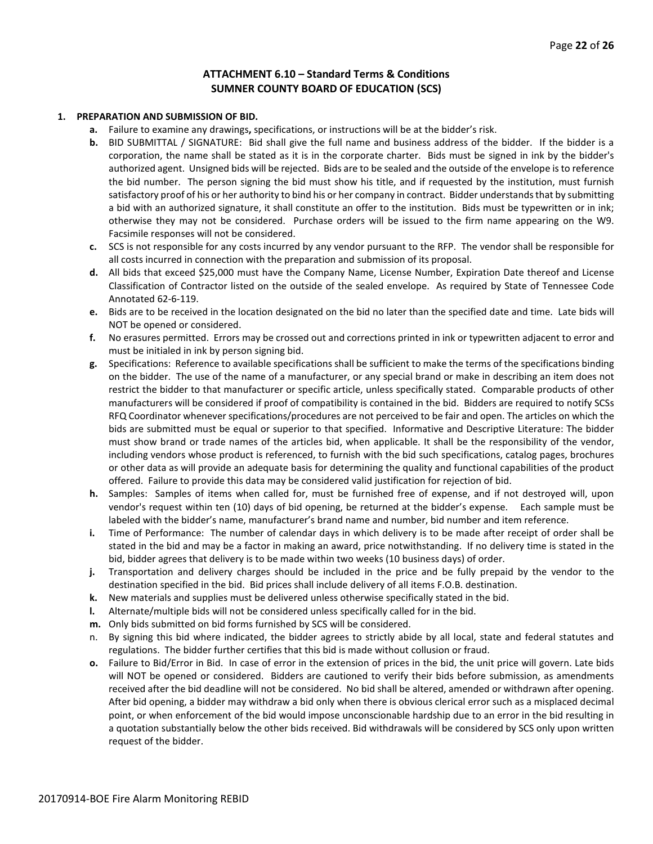#### **ATTACHMENT 6.10 – Standard Terms & Conditions SUMNER COUNTY BOARD OF EDUCATION (SCS)**

#### **1. PREPARATION AND SUBMISSION OF BID.**

- **a.** Failure to examine any drawings**,** specifications, or instructions will be at the bidder's risk.
- **b.** BID SUBMITTAL / SIGNATURE: Bid shall give the full name and business address of the bidder. If the bidder is a corporation, the name shall be stated as it is in the corporate charter. Bids must be signed in ink by the bidder's authorized agent. Unsigned bids will be rejected. Bids are to be sealed and the outside of the envelope is to reference the bid number. The person signing the bid must show his title, and if requested by the institution, must furnish satisfactory proof of his or her authority to bind his or her company in contract. Bidder understands that by submitting a bid with an authorized signature, it shall constitute an offer to the institution. Bids must be typewritten or in ink; otherwise they may not be considered. Purchase orders will be issued to the firm name appearing on the W9. Facsimile responses will not be considered.
- **c.** SCS is not responsible for any costs incurred by any vendor pursuant to the RFP. The vendor shall be responsible for all costs incurred in connection with the preparation and submission of its proposal.
- **d.** All bids that exceed \$25,000 must have the Company Name, License Number, Expiration Date thereof and License Classification of Contractor listed on the outside of the sealed envelope. As required by State of Tennessee Code Annotated 62-6-119.
- **e.** Bids are to be received in the location designated on the bid no later than the specified date and time. Late bids will NOT be opened or considered.
- **f.** No erasures permitted. Errors may be crossed out and corrections printed in ink or typewritten adjacent to error and must be initialed in ink by person signing bid.
- **g.** Specifications: Reference to available specifications shall be sufficient to make the terms of the specifications binding on the bidder. The use of the name of a manufacturer, or any special brand or make in describing an item does not restrict the bidder to that manufacturer or specific article, unless specifically stated. Comparable products of other manufacturers will be considered if proof of compatibility is contained in the bid. Bidders are required to notify SCSs RFQ Coordinator whenever specifications/procedures are not perceived to be fair and open. The articles on which the bids are submitted must be equal or superior to that specified. Informative and Descriptive Literature: The bidder must show brand or trade names of the articles bid, when applicable. It shall be the responsibility of the vendor, including vendors whose product is referenced, to furnish with the bid such specifications, catalog pages, brochures or other data as will provide an adequate basis for determining the quality and functional capabilities of the product offered. Failure to provide this data may be considered valid justification for rejection of bid.
- **h.** Samples: Samples of items when called for, must be furnished free of expense, and if not destroyed will, upon vendor's request within ten (10) days of bid opening, be returned at the bidder's expense. Each sample must be labeled with the bidder's name, manufacturer's brand name and number, bid number and item reference.
- **i.** Time of Performance: The number of calendar days in which delivery is to be made after receipt of order shall be stated in the bid and may be a factor in making an award, price notwithstanding. If no delivery time is stated in the bid, bidder agrees that delivery is to be made within two weeks (10 business days) of order.
- **j.** Transportation and delivery charges should be included in the price and be fully prepaid by the vendor to the destination specified in the bid. Bid prices shall include delivery of all items F.O.B. destination.
- **k.** New materials and supplies must be delivered unless otherwise specifically stated in the bid.
- **l.** Alternate/multiple bids will not be considered unless specifically called for in the bid.
- **m.** Only bids submitted on bid forms furnished by SCS will be considered.
- n. By signing this bid where indicated, the bidder agrees to strictly abide by all local, state and federal statutes and regulations. The bidder further certifies that this bid is made without collusion or fraud.
- **o.** Failure to Bid/Error in Bid. In case of error in the extension of prices in the bid, the unit price will govern. Late bids will NOT be opened or considered. Bidders are cautioned to verify their bids before submission, as amendments received after the bid deadline will not be considered. No bid shall be altered, amended or withdrawn after opening. After bid opening, a bidder may withdraw a bid only when there is obvious clerical error such as a misplaced decimal point, or when enforcement of the bid would impose unconscionable hardship due to an error in the bid resulting in a quotation substantially below the other bids received. Bid withdrawals will be considered by SCS only upon written request of the bidder.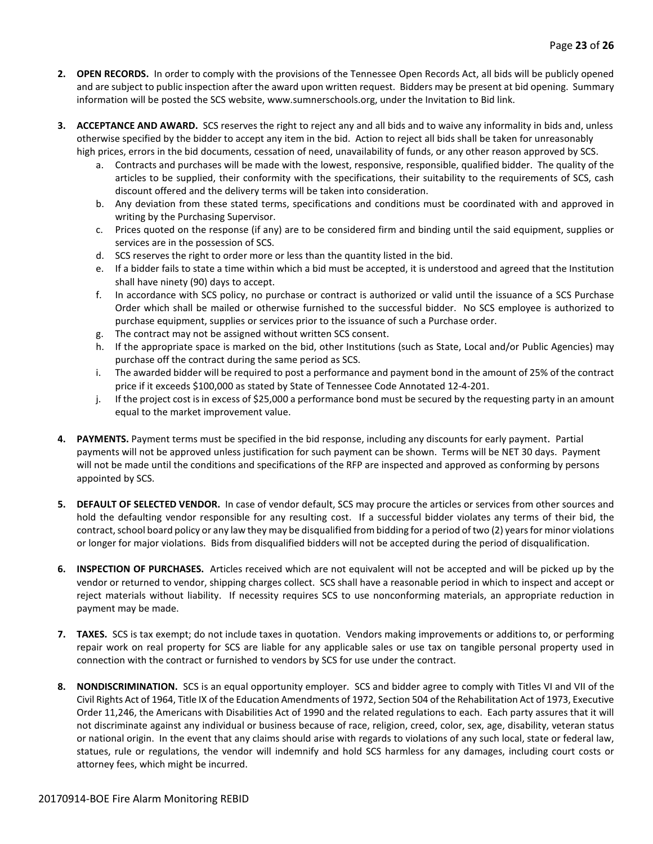- **2. OPEN RECORDS.** In order to comply with the provisions of the Tennessee Open Records Act, all bids will be publicly opened and are subject to public inspection after the award upon written request. Bidders may be present at bid opening. Summary information will be posted the SCS website, www.sumnerschools.org, under the Invitation to Bid link.
- **3. ACCEPTANCE AND AWARD.** SCS reserves the right to reject any and all bids and to waive any informality in bids and, unless otherwise specified by the bidder to accept any item in the bid. Action to reject all bids shall be taken for unreasonably high prices, errors in the bid documents, cessation of need, unavailability of funds, or any other reason approved by SCS.
	- a. Contracts and purchases will be made with the lowest, responsive, responsible, qualified bidder. The quality of the articles to be supplied, their conformity with the specifications, their suitability to the requirements of SCS, cash discount offered and the delivery terms will be taken into consideration.
	- b. Any deviation from these stated terms, specifications and conditions must be coordinated with and approved in writing by the Purchasing Supervisor.
	- c. Prices quoted on the response (if any) are to be considered firm and binding until the said equipment, supplies or services are in the possession of SCS.
	- d. SCS reserves the right to order more or less than the quantity listed in the bid.
	- e. If a bidder fails to state a time within which a bid must be accepted, it is understood and agreed that the Institution shall have ninety (90) days to accept.
	- f. In accordance with SCS policy, no purchase or contract is authorized or valid until the issuance of a SCS Purchase Order which shall be mailed or otherwise furnished to the successful bidder. No SCS employee is authorized to purchase equipment, supplies or services prior to the issuance of such a Purchase order.
	- g. The contract may not be assigned without written SCS consent.
	- h. If the appropriate space is marked on the bid, other Institutions (such as State, Local and/or Public Agencies) may purchase off the contract during the same period as SCS.
	- i. The awarded bidder will be required to post a performance and payment bond in the amount of 25% of the contract price if it exceeds \$100,000 as stated by State of Tennessee Code Annotated 12-4-201.
	- j. If the project cost is in excess of \$25,000 a performance bond must be secured by the requesting party in an amount equal to the market improvement value.
- **4. PAYMENTS.** Payment terms must be specified in the bid response, including any discounts for early payment. Partial payments will not be approved unless justification for such payment can be shown. Terms will be NET 30 days. Payment will not be made until the conditions and specifications of the RFP are inspected and approved as conforming by persons appointed by SCS.
- **5. DEFAULT OF SELECTED VENDOR.** In case of vendor default, SCS may procure the articles or services from other sources and hold the defaulting vendor responsible for any resulting cost. If a successful bidder violates any terms of their bid, the contract, school board policy or any law they may be disqualified from bidding for a period of two (2) years for minor violations or longer for major violations. Bids from disqualified bidders will not be accepted during the period of disqualification.
- **6. INSPECTION OF PURCHASES.** Articles received which are not equivalent will not be accepted and will be picked up by the vendor or returned to vendor, shipping charges collect. SCS shall have a reasonable period in which to inspect and accept or reject materials without liability. If necessity requires SCS to use nonconforming materials, an appropriate reduction in payment may be made.
- **7. TAXES.** SCS is tax exempt; do not include taxes in quotation. Vendors making improvements or additions to, or performing repair work on real property for SCS are liable for any applicable sales or use tax on tangible personal property used in connection with the contract or furnished to vendors by SCS for use under the contract.
- **8. NONDISCRIMINATION.** SCS is an equal opportunity employer. SCS and bidder agree to comply with Titles VI and VII of the Civil Rights Act of 1964, Title IX of the Education Amendments of 1972, Section 504 of the Rehabilitation Act of 1973, Executive Order 11,246, the Americans with Disabilities Act of 1990 and the related regulations to each. Each party assures that it will not discriminate against any individual or business because of race, religion, creed, color, sex, age, disability, veteran status or national origin. In the event that any claims should arise with regards to violations of any such local, state or federal law, statues, rule or regulations, the vendor will indemnify and hold SCS harmless for any damages, including court costs or attorney fees, which might be incurred.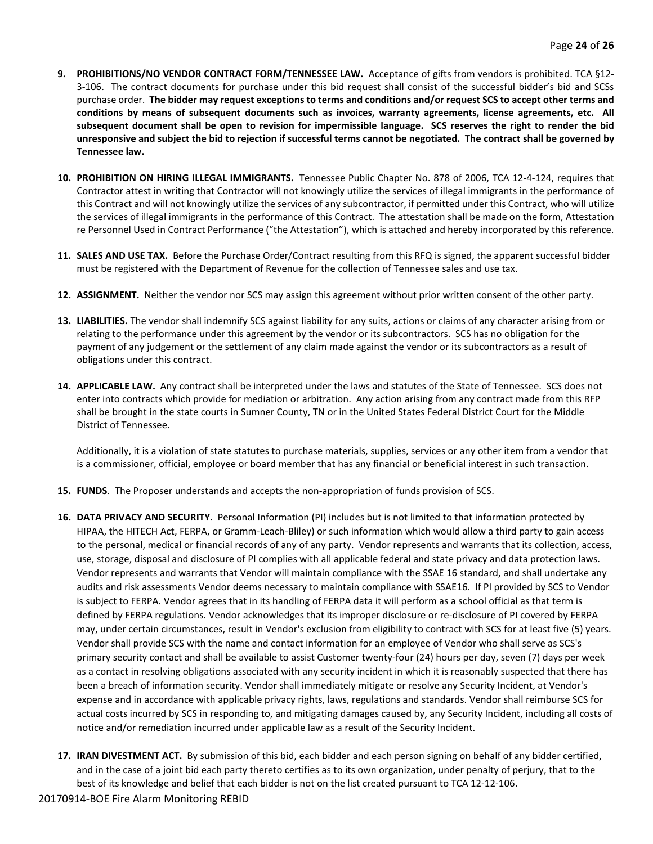- **9. PROHIBITIONS/NO VENDOR CONTRACT FORM/TENNESSEE LAW.** Acceptance of gifts from vendors is prohibited. TCA §12- 3-106. The contract documents for purchase under this bid request shall consist of the successful bidder's bid and SCSs purchase order. **The bidder may request exceptions to terms and conditions and/or request SCS to accept other terms and conditions by means of subsequent documents such as invoices, warranty agreements, license agreements, etc. All subsequent document shall be open to revision for impermissible language. SCS reserves the right to render the bid unresponsive and subject the bid to rejection if successful terms cannot be negotiated. The contract shall be governed by Tennessee law.**
- **10. PROHIBITION ON HIRING ILLEGAL IMMIGRANTS.** Tennessee Public Chapter No. 878 of 2006, TCA 12-4-124, requires that Contractor attest in writing that Contractor will not knowingly utilize the services of illegal immigrants in the performance of this Contract and will not knowingly utilize the services of any subcontractor, if permitted under this Contract, who will utilize the services of illegal immigrants in the performance of this Contract. The attestation shall be made on the form, Attestation re Personnel Used in Contract Performance ("the Attestation"), which is attached and hereby incorporated by this reference.
- **11. SALES AND USE TAX.** Before the Purchase Order/Contract resulting from this RFQ is signed, the apparent successful bidder must be registered with the Department of Revenue for the collection of Tennessee sales and use tax.
- **12. ASSIGNMENT.** Neither the vendor nor SCS may assign this agreement without prior written consent of the other party.
- **13. LIABILITIES.** The vendor shall indemnify SCS against liability for any suits, actions or claims of any character arising from or relating to the performance under this agreement by the vendor or its subcontractors. SCS has no obligation for the payment of any judgement or the settlement of any claim made against the vendor or its subcontractors as a result of obligations under this contract.
- **14. APPLICABLE LAW.** Any contract shall be interpreted under the laws and statutes of the State of Tennessee. SCS does not enter into contracts which provide for mediation or arbitration. Any action arising from any contract made from this RFP shall be brought in the state courts in Sumner County, TN or in the United States Federal District Court for the Middle District of Tennessee.

Additionally, it is a violation of state statutes to purchase materials, supplies, services or any other item from a vendor that is a commissioner, official, employee or board member that has any financial or beneficial interest in such transaction.

- **15. FUNDS**. The Proposer understands and accepts the non-appropriation of funds provision of SCS.
- **16. DATA PRIVACY AND SECURITY**. Personal Information (PI) includes but is not limited to that information protected by HIPAA, the HITECH Act, FERPA, or Gramm-Leach-Bliley) or such information which would allow a third party to gain access to the personal, medical or financial records of any of any party. Vendor represents and warrants that its collection, access, use, storage, disposal and disclosure of PI complies with all applicable federal and state privacy and data protection laws. Vendor represents and warrants that Vendor will maintain compliance with the SSAE 16 standard, and shall undertake any audits and risk assessments Vendor deems necessary to maintain compliance with SSAE16. If PI provided by SCS to Vendor is subject to FERPA. Vendor agrees that in its handling of FERPA data it will perform as a school official as that term is defined by FERPA regulations. Vendor acknowledges that its improper disclosure or re-disclosure of PI covered by FERPA may, under certain circumstances, result in Vendor's exclusion from eligibility to contract with SCS for at least five (5) years. Vendor shall provide SCS with the name and contact information for an employee of Vendor who shall serve as SCS's primary security contact and shall be available to assist Customer twenty-four (24) hours per day, seven (7) days per week as a contact in resolving obligations associated with any security incident in which it is reasonably suspected that there has been a breach of information security. Vendor shall immediately mitigate or resolve any Security Incident, at Vendor's expense and in accordance with applicable privacy rights, laws, regulations and standards. Vendor shall reimburse SCS for actual costs incurred by SCS in responding to, and mitigating damages caused by, any Security Incident, including all costs of notice and/or remediation incurred under applicable law as a result of the Security Incident.
- **17. IRAN DIVESTMENT ACT.** By submission of this bid, each bidder and each person signing on behalf of any bidder certified, and in the case of a joint bid each party thereto certifies as to its own organization, under penalty of perjury, that to the best of its knowledge and belief that each bidder is not on the list created pursuant to TCA 12-12-106.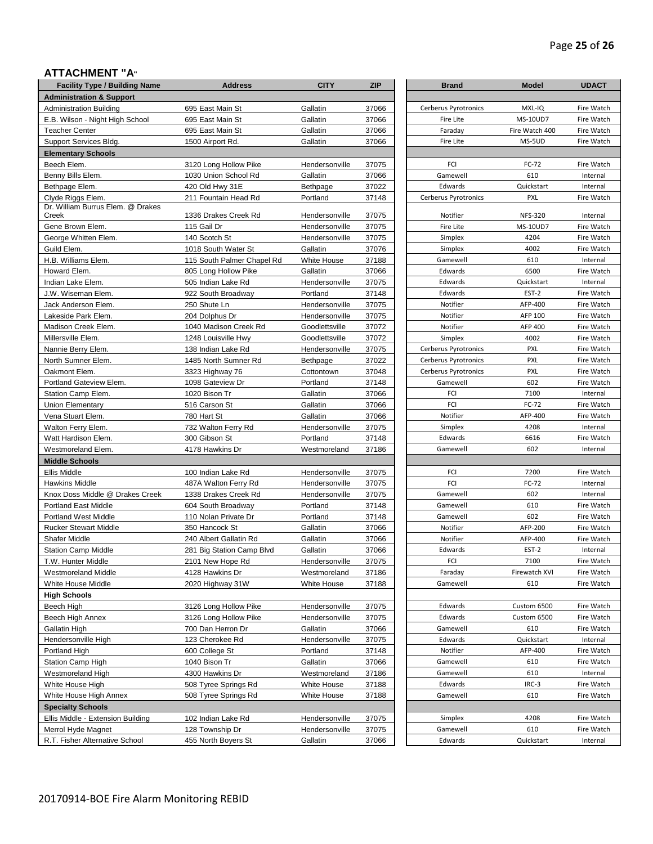# Page **25** of **26**

### **ATTACHMENT "A"**

| <b>Brand</b><br><b>Administration &amp; Support</b><br>37066<br><b>Administration Building</b><br>695 East Main St<br>Gallatin<br>Gallatin<br>37066<br>E.B. Wilson - Night High School<br>695 East Main St<br>Gallatin<br>37066<br><b>Teacher Center</b><br>695 East Main St<br>37066<br>Support Services Bldg.<br>1500 Airport Rd.<br>Gallatin<br><b>Elementary Schools</b><br>37075<br>Beech Elem.<br>3120 Long Hollow Pike<br>Hendersonville<br>Benny Bills Elem.<br>1030 Union School Rd<br>Gallatin<br>37066<br>Bethpage Elem.<br>420 Old Hwy 31E<br><b>Bethpage</b><br>37022<br>Clyde Riggs Elem.<br>37148<br>211 Fountain Head Rd<br>Portland<br>Dr. William Burrus Elem. @ Drakes<br>37075<br>1336 Drakes Creek Rd<br>Hendersonville<br>115 Gail Dr<br>Hendersonville<br>37075<br>140 Scotch St<br>Hendersonville<br>37075<br>Gallatin<br>37076<br>1018 South Water St<br>37188<br>115 South Palmer Chapel Rd<br>White House<br>Howard Elem.<br>37066<br>805 Long Hollow Pike<br>Gallatin<br>37075<br>Indian Lake Elem.<br>505 Indian Lake Rd<br>Hendersonville<br>Portland<br>37148<br>J.W. Wiseman Elem.<br>922 South Broadway<br>37075<br>Jack Anderson Elem.<br>250 Shute Ln<br>Hendersonville<br>37075<br>Lakeside Park Elem.<br>204 Dolphus Dr<br>Hendersonville<br>37072<br>Madison Creek Elem.<br>1040 Madison Creek Rd<br>Goodlettsville<br>37072<br>Millersville Elem.<br>1248 Louisville Hwy<br>Goodlettsville<br>37075<br>Nannie Berry Elem.<br>138 Indian Lake Rd<br>Hendersonville<br>North Sumner Elem.<br>1485 North Sumner Rd<br>37022<br>Bethpage<br>37048<br>Oakmont Elem.<br>3323 Highway 76<br>Cottontown<br>Portland<br>37148<br>Portland Gateview Elem.<br>1098 Gateview Dr<br>1020 Bison Tr<br>Gallatin<br>37066<br>Station Camp Elem.<br>Gallatin<br>516 Carson St<br>37066<br>780 Hart St<br>Gallatin<br>37066<br>Vena Stuart Elem.<br>37075<br>Walton Ferry Elem.<br>732 Walton Ferry Rd<br>Hendersonville<br>300 Gibson St<br>Portland<br>37148<br>Watt Hardison Elem.<br>37186<br>Westmoreland Elem.<br>4178 Hawkins Dr<br>Westmoreland<br><b>Middle Schools</b><br>37075<br>Ellis Middle<br>100 Indian Lake Rd<br>Hendersonville<br>37075<br>Hawkins Middle<br>487A Walton Ferry Rd<br>Hendersonville<br>Knox Doss Middle @ Drakes Creek<br>1338 Drakes Creek Rd<br>Hendersonville<br>37075<br>Portland<br>37148<br>Portland East Middle<br>604 South Broadway<br>Portland<br>37148<br><b>Portland West Middle</b><br>110 Nolan Private Dr<br><b>Rucker Stewart Middle</b><br>Gallatin<br>37066<br>350 Hancock St<br><b>Shafer Middle</b><br>240 Albert Gallatin Rd<br>Gallatin<br>37066<br>37066<br><b>Station Camp Middle</b><br>281 Big Station Camp Blvd<br>Gallatin<br>T.W. Hunter Middle<br>2101 New Hope Rd<br>Hendersonville<br>37075<br>Westmoreland Middle<br>4128 Hawkins Dr<br>Westmoreland<br>37186<br>White House Middle<br>2020 Highway 31W<br>White House<br>37188<br>37075<br>Beech High<br>3126 Long Hollow Pike<br>Hendersonville<br>Beech High Annex<br>3126 Long Hollow Pike<br>37075<br>Hendersonville<br>Gallatin High<br>700 Dan Herron Dr<br>Gallatin<br>37066<br>123 Cherokee Rd<br>37075<br>Hendersonville High<br>Hendersonville<br>600 College St<br>Portland<br>37148<br>Portland High<br>Station Camp High<br>1040 Bison Tr<br>Gallatin<br>37066<br>Westmoreland High<br>4300 Hawkins Dr<br>Westmoreland<br>37186<br>37188<br>White House High<br>508 Tyree Springs Rd<br>White House<br>508 Tyree Springs Rd<br>White House High Annex<br>White House<br>37188<br><b>Specialty Schools</b><br>102 Indian Lake Rd<br>Hendersonville<br>Ellis Middle - Extension Building<br>37075<br>37075<br>Merrol Hyde Magnet<br>128 Township Dr<br>Hendersonville<br>R.T. Fisher Alternative School | <b>Facility Type / Building Name</b> | <b>Address</b>      | <b>CITY</b> | <b>ZIP</b> |
|--------------------------------------------------------------------------------------------------------------------------------------------------------------------------------------------------------------------------------------------------------------------------------------------------------------------------------------------------------------------------------------------------------------------------------------------------------------------------------------------------------------------------------------------------------------------------------------------------------------------------------------------------------------------------------------------------------------------------------------------------------------------------------------------------------------------------------------------------------------------------------------------------------------------------------------------------------------------------------------------------------------------------------------------------------------------------------------------------------------------------------------------------------------------------------------------------------------------------------------------------------------------------------------------------------------------------------------------------------------------------------------------------------------------------------------------------------------------------------------------------------------------------------------------------------------------------------------------------------------------------------------------------------------------------------------------------------------------------------------------------------------------------------------------------------------------------------------------------------------------------------------------------------------------------------------------------------------------------------------------------------------------------------------------------------------------------------------------------------------------------------------------------------------------------------------------------------------------------------------------------------------------------------------------------------------------------------------------------------------------------------------------------------------------------------------------------------------------------------------------------------------------------------------------------------------------------------------------------------------------------------------------------------------------------------------------------------------------------------------------------------------------------------------------------------------------------------------------------------------------------------------------------------------------------------------------------------------------------------------------------------------------------------------------------------------------------------------------------------------------------------------------------------------------------------------------------------------------------------------------------------------------------------------------------------------------------------------------------------------------------------------------------------------------------------------------------------------------------------------------------------------------------------------------------------------------------------------------------------------------------------------------------------------------------------------------------------------------------------------------------------------|--------------------------------------|---------------------|-------------|------------|
| Cerberus Pyrotronics<br>FCI<br>FCI<br>FCI<br>FCI<br>FCI<br>FCI                                                                                                                                                                                                                                                                                                                                                                                                                                                                                                                                                                                                                                                                                                                                                                                                                                                                                                                                                                                                                                                                                                                                                                                                                                                                                                                                                                                                                                                                                                                                                                                                                                                                                                                                                                                                                                                                                                                                                                                                                                                                                                                                                                                                                                                                                                                                                                                                                                                                                                                                                                                                                                                                                                                                                                                                                                                                                                                                                                                                                                                                                                                                                                                                                                                                                                                                                                                                                                                                                                                                                                                                                                                                                               |                                      |                     |             |            |
| Fire Lite<br>Faraday<br>Fire Lite<br>Gamewell<br>Edwards<br>Notifier<br>Fire Lite<br>Simplex<br>Simplex<br>Gamewell<br>Edwards<br>Edwards<br>Edwards<br>Notifier<br>Notifier<br>Notifier<br>Simplex<br>Gamewell<br>Notifier<br>Simplex<br>Edwards<br>Gamewell<br>Gamewell<br>Gamewell<br>Gamewell<br>Notifier<br>Notifier<br>Edwards<br>Faraday<br>Gamewell<br>Edwards<br>Edwards<br>Gamewell<br>Edwards<br>Notifier<br>Gamewell<br>Gamewell<br>Edwards<br>Gamewell<br>Simplex<br>Gamewell<br>Edwards                                                                                                                                                                                                                                                                                                                                                                                                                                                                                                                                                                                                                                                                                                                                                                                                                                                                                                                                                                                                                                                                                                                                                                                                                                                                                                                                                                                                                                                                                                                                                                                                                                                                                                                                                                                                                                                                                                                                                                                                                                                                                                                                                                                                                                                                                                                                                                                                                                                                                                                                                                                                                                                                                                                                                                                                                                                                                                                                                                                                                                                                                                                                                                                                                                                        |                                      |                     |             |            |
|                                                                                                                                                                                                                                                                                                                                                                                                                                                                                                                                                                                                                                                                                                                                                                                                                                                                                                                                                                                                                                                                                                                                                                                                                                                                                                                                                                                                                                                                                                                                                                                                                                                                                                                                                                                                                                                                                                                                                                                                                                                                                                                                                                                                                                                                                                                                                                                                                                                                                                                                                                                                                                                                                                                                                                                                                                                                                                                                                                                                                                                                                                                                                                                                                                                                                                                                                                                                                                                                                                                                                                                                                                                                                                                                                              |                                      |                     |             |            |
|                                                                                                                                                                                                                                                                                                                                                                                                                                                                                                                                                                                                                                                                                                                                                                                                                                                                                                                                                                                                                                                                                                                                                                                                                                                                                                                                                                                                                                                                                                                                                                                                                                                                                                                                                                                                                                                                                                                                                                                                                                                                                                                                                                                                                                                                                                                                                                                                                                                                                                                                                                                                                                                                                                                                                                                                                                                                                                                                                                                                                                                                                                                                                                                                                                                                                                                                                                                                                                                                                                                                                                                                                                                                                                                                                              |                                      |                     |             |            |
|                                                                                                                                                                                                                                                                                                                                                                                                                                                                                                                                                                                                                                                                                                                                                                                                                                                                                                                                                                                                                                                                                                                                                                                                                                                                                                                                                                                                                                                                                                                                                                                                                                                                                                                                                                                                                                                                                                                                                                                                                                                                                                                                                                                                                                                                                                                                                                                                                                                                                                                                                                                                                                                                                                                                                                                                                                                                                                                                                                                                                                                                                                                                                                                                                                                                                                                                                                                                                                                                                                                                                                                                                                                                                                                                                              |                                      |                     |             |            |
|                                                                                                                                                                                                                                                                                                                                                                                                                                                                                                                                                                                                                                                                                                                                                                                                                                                                                                                                                                                                                                                                                                                                                                                                                                                                                                                                                                                                                                                                                                                                                                                                                                                                                                                                                                                                                                                                                                                                                                                                                                                                                                                                                                                                                                                                                                                                                                                                                                                                                                                                                                                                                                                                                                                                                                                                                                                                                                                                                                                                                                                                                                                                                                                                                                                                                                                                                                                                                                                                                                                                                                                                                                                                                                                                                              |                                      |                     |             |            |
|                                                                                                                                                                                                                                                                                                                                                                                                                                                                                                                                                                                                                                                                                                                                                                                                                                                                                                                                                                                                                                                                                                                                                                                                                                                                                                                                                                                                                                                                                                                                                                                                                                                                                                                                                                                                                                                                                                                                                                                                                                                                                                                                                                                                                                                                                                                                                                                                                                                                                                                                                                                                                                                                                                                                                                                                                                                                                                                                                                                                                                                                                                                                                                                                                                                                                                                                                                                                                                                                                                                                                                                                                                                                                                                                                              |                                      |                     |             |            |
|                                                                                                                                                                                                                                                                                                                                                                                                                                                                                                                                                                                                                                                                                                                                                                                                                                                                                                                                                                                                                                                                                                                                                                                                                                                                                                                                                                                                                                                                                                                                                                                                                                                                                                                                                                                                                                                                                                                                                                                                                                                                                                                                                                                                                                                                                                                                                                                                                                                                                                                                                                                                                                                                                                                                                                                                                                                                                                                                                                                                                                                                                                                                                                                                                                                                                                                                                                                                                                                                                                                                                                                                                                                                                                                                                              |                                      |                     |             |            |
| Cerberus Pyrotronics                                                                                                                                                                                                                                                                                                                                                                                                                                                                                                                                                                                                                                                                                                                                                                                                                                                                                                                                                                                                                                                                                                                                                                                                                                                                                                                                                                                                                                                                                                                                                                                                                                                                                                                                                                                                                                                                                                                                                                                                                                                                                                                                                                                                                                                                                                                                                                                                                                                                                                                                                                                                                                                                                                                                                                                                                                                                                                                                                                                                                                                                                                                                                                                                                                                                                                                                                                                                                                                                                                                                                                                                                                                                                                                                         |                                      |                     |             |            |
| Cerberus Pyrotronics<br>Cerberus Pyrotronics<br>Cerberus Pyrotronics                                                                                                                                                                                                                                                                                                                                                                                                                                                                                                                                                                                                                                                                                                                                                                                                                                                                                                                                                                                                                                                                                                                                                                                                                                                                                                                                                                                                                                                                                                                                                                                                                                                                                                                                                                                                                                                                                                                                                                                                                                                                                                                                                                                                                                                                                                                                                                                                                                                                                                                                                                                                                                                                                                                                                                                                                                                                                                                                                                                                                                                                                                                                                                                                                                                                                                                                                                                                                                                                                                                                                                                                                                                                                         |                                      |                     |             |            |
|                                                                                                                                                                                                                                                                                                                                                                                                                                                                                                                                                                                                                                                                                                                                                                                                                                                                                                                                                                                                                                                                                                                                                                                                                                                                                                                                                                                                                                                                                                                                                                                                                                                                                                                                                                                                                                                                                                                                                                                                                                                                                                                                                                                                                                                                                                                                                                                                                                                                                                                                                                                                                                                                                                                                                                                                                                                                                                                                                                                                                                                                                                                                                                                                                                                                                                                                                                                                                                                                                                                                                                                                                                                                                                                                                              |                                      |                     |             |            |
|                                                                                                                                                                                                                                                                                                                                                                                                                                                                                                                                                                                                                                                                                                                                                                                                                                                                                                                                                                                                                                                                                                                                                                                                                                                                                                                                                                                                                                                                                                                                                                                                                                                                                                                                                                                                                                                                                                                                                                                                                                                                                                                                                                                                                                                                                                                                                                                                                                                                                                                                                                                                                                                                                                                                                                                                                                                                                                                                                                                                                                                                                                                                                                                                                                                                                                                                                                                                                                                                                                                                                                                                                                                                                                                                                              | Creek                                |                     |             |            |
|                                                                                                                                                                                                                                                                                                                                                                                                                                                                                                                                                                                                                                                                                                                                                                                                                                                                                                                                                                                                                                                                                                                                                                                                                                                                                                                                                                                                                                                                                                                                                                                                                                                                                                                                                                                                                                                                                                                                                                                                                                                                                                                                                                                                                                                                                                                                                                                                                                                                                                                                                                                                                                                                                                                                                                                                                                                                                                                                                                                                                                                                                                                                                                                                                                                                                                                                                                                                                                                                                                                                                                                                                                                                                                                                                              | Gene Brown Elem.                     |                     |             |            |
|                                                                                                                                                                                                                                                                                                                                                                                                                                                                                                                                                                                                                                                                                                                                                                                                                                                                                                                                                                                                                                                                                                                                                                                                                                                                                                                                                                                                                                                                                                                                                                                                                                                                                                                                                                                                                                                                                                                                                                                                                                                                                                                                                                                                                                                                                                                                                                                                                                                                                                                                                                                                                                                                                                                                                                                                                                                                                                                                                                                                                                                                                                                                                                                                                                                                                                                                                                                                                                                                                                                                                                                                                                                                                                                                                              | George Whitten Elem.                 |                     |             |            |
|                                                                                                                                                                                                                                                                                                                                                                                                                                                                                                                                                                                                                                                                                                                                                                                                                                                                                                                                                                                                                                                                                                                                                                                                                                                                                                                                                                                                                                                                                                                                                                                                                                                                                                                                                                                                                                                                                                                                                                                                                                                                                                                                                                                                                                                                                                                                                                                                                                                                                                                                                                                                                                                                                                                                                                                                                                                                                                                                                                                                                                                                                                                                                                                                                                                                                                                                                                                                                                                                                                                                                                                                                                                                                                                                                              | Guild Elem.                          |                     |             |            |
|                                                                                                                                                                                                                                                                                                                                                                                                                                                                                                                                                                                                                                                                                                                                                                                                                                                                                                                                                                                                                                                                                                                                                                                                                                                                                                                                                                                                                                                                                                                                                                                                                                                                                                                                                                                                                                                                                                                                                                                                                                                                                                                                                                                                                                                                                                                                                                                                                                                                                                                                                                                                                                                                                                                                                                                                                                                                                                                                                                                                                                                                                                                                                                                                                                                                                                                                                                                                                                                                                                                                                                                                                                                                                                                                                              | H.B. Williams Elem.                  |                     |             |            |
|                                                                                                                                                                                                                                                                                                                                                                                                                                                                                                                                                                                                                                                                                                                                                                                                                                                                                                                                                                                                                                                                                                                                                                                                                                                                                                                                                                                                                                                                                                                                                                                                                                                                                                                                                                                                                                                                                                                                                                                                                                                                                                                                                                                                                                                                                                                                                                                                                                                                                                                                                                                                                                                                                                                                                                                                                                                                                                                                                                                                                                                                                                                                                                                                                                                                                                                                                                                                                                                                                                                                                                                                                                                                                                                                                              |                                      |                     |             |            |
|                                                                                                                                                                                                                                                                                                                                                                                                                                                                                                                                                                                                                                                                                                                                                                                                                                                                                                                                                                                                                                                                                                                                                                                                                                                                                                                                                                                                                                                                                                                                                                                                                                                                                                                                                                                                                                                                                                                                                                                                                                                                                                                                                                                                                                                                                                                                                                                                                                                                                                                                                                                                                                                                                                                                                                                                                                                                                                                                                                                                                                                                                                                                                                                                                                                                                                                                                                                                                                                                                                                                                                                                                                                                                                                                                              |                                      |                     |             |            |
|                                                                                                                                                                                                                                                                                                                                                                                                                                                                                                                                                                                                                                                                                                                                                                                                                                                                                                                                                                                                                                                                                                                                                                                                                                                                                                                                                                                                                                                                                                                                                                                                                                                                                                                                                                                                                                                                                                                                                                                                                                                                                                                                                                                                                                                                                                                                                                                                                                                                                                                                                                                                                                                                                                                                                                                                                                                                                                                                                                                                                                                                                                                                                                                                                                                                                                                                                                                                                                                                                                                                                                                                                                                                                                                                                              |                                      |                     |             |            |
|                                                                                                                                                                                                                                                                                                                                                                                                                                                                                                                                                                                                                                                                                                                                                                                                                                                                                                                                                                                                                                                                                                                                                                                                                                                                                                                                                                                                                                                                                                                                                                                                                                                                                                                                                                                                                                                                                                                                                                                                                                                                                                                                                                                                                                                                                                                                                                                                                                                                                                                                                                                                                                                                                                                                                                                                                                                                                                                                                                                                                                                                                                                                                                                                                                                                                                                                                                                                                                                                                                                                                                                                                                                                                                                                                              |                                      |                     |             |            |
|                                                                                                                                                                                                                                                                                                                                                                                                                                                                                                                                                                                                                                                                                                                                                                                                                                                                                                                                                                                                                                                                                                                                                                                                                                                                                                                                                                                                                                                                                                                                                                                                                                                                                                                                                                                                                                                                                                                                                                                                                                                                                                                                                                                                                                                                                                                                                                                                                                                                                                                                                                                                                                                                                                                                                                                                                                                                                                                                                                                                                                                                                                                                                                                                                                                                                                                                                                                                                                                                                                                                                                                                                                                                                                                                                              |                                      |                     |             |            |
|                                                                                                                                                                                                                                                                                                                                                                                                                                                                                                                                                                                                                                                                                                                                                                                                                                                                                                                                                                                                                                                                                                                                                                                                                                                                                                                                                                                                                                                                                                                                                                                                                                                                                                                                                                                                                                                                                                                                                                                                                                                                                                                                                                                                                                                                                                                                                                                                                                                                                                                                                                                                                                                                                                                                                                                                                                                                                                                                                                                                                                                                                                                                                                                                                                                                                                                                                                                                                                                                                                                                                                                                                                                                                                                                                              |                                      |                     |             |            |
|                                                                                                                                                                                                                                                                                                                                                                                                                                                                                                                                                                                                                                                                                                                                                                                                                                                                                                                                                                                                                                                                                                                                                                                                                                                                                                                                                                                                                                                                                                                                                                                                                                                                                                                                                                                                                                                                                                                                                                                                                                                                                                                                                                                                                                                                                                                                                                                                                                                                                                                                                                                                                                                                                                                                                                                                                                                                                                                                                                                                                                                                                                                                                                                                                                                                                                                                                                                                                                                                                                                                                                                                                                                                                                                                                              |                                      |                     |             |            |
|                                                                                                                                                                                                                                                                                                                                                                                                                                                                                                                                                                                                                                                                                                                                                                                                                                                                                                                                                                                                                                                                                                                                                                                                                                                                                                                                                                                                                                                                                                                                                                                                                                                                                                                                                                                                                                                                                                                                                                                                                                                                                                                                                                                                                                                                                                                                                                                                                                                                                                                                                                                                                                                                                                                                                                                                                                                                                                                                                                                                                                                                                                                                                                                                                                                                                                                                                                                                                                                                                                                                                                                                                                                                                                                                                              |                                      |                     |             |            |
|                                                                                                                                                                                                                                                                                                                                                                                                                                                                                                                                                                                                                                                                                                                                                                                                                                                                                                                                                                                                                                                                                                                                                                                                                                                                                                                                                                                                                                                                                                                                                                                                                                                                                                                                                                                                                                                                                                                                                                                                                                                                                                                                                                                                                                                                                                                                                                                                                                                                                                                                                                                                                                                                                                                                                                                                                                                                                                                                                                                                                                                                                                                                                                                                                                                                                                                                                                                                                                                                                                                                                                                                                                                                                                                                                              |                                      |                     |             |            |
|                                                                                                                                                                                                                                                                                                                                                                                                                                                                                                                                                                                                                                                                                                                                                                                                                                                                                                                                                                                                                                                                                                                                                                                                                                                                                                                                                                                                                                                                                                                                                                                                                                                                                                                                                                                                                                                                                                                                                                                                                                                                                                                                                                                                                                                                                                                                                                                                                                                                                                                                                                                                                                                                                                                                                                                                                                                                                                                                                                                                                                                                                                                                                                                                                                                                                                                                                                                                                                                                                                                                                                                                                                                                                                                                                              |                                      |                     |             |            |
|                                                                                                                                                                                                                                                                                                                                                                                                                                                                                                                                                                                                                                                                                                                                                                                                                                                                                                                                                                                                                                                                                                                                                                                                                                                                                                                                                                                                                                                                                                                                                                                                                                                                                                                                                                                                                                                                                                                                                                                                                                                                                                                                                                                                                                                                                                                                                                                                                                                                                                                                                                                                                                                                                                                                                                                                                                                                                                                                                                                                                                                                                                                                                                                                                                                                                                                                                                                                                                                                                                                                                                                                                                                                                                                                                              |                                      |                     |             |            |
|                                                                                                                                                                                                                                                                                                                                                                                                                                                                                                                                                                                                                                                                                                                                                                                                                                                                                                                                                                                                                                                                                                                                                                                                                                                                                                                                                                                                                                                                                                                                                                                                                                                                                                                                                                                                                                                                                                                                                                                                                                                                                                                                                                                                                                                                                                                                                                                                                                                                                                                                                                                                                                                                                                                                                                                                                                                                                                                                                                                                                                                                                                                                                                                                                                                                                                                                                                                                                                                                                                                                                                                                                                                                                                                                                              |                                      |                     |             |            |
|                                                                                                                                                                                                                                                                                                                                                                                                                                                                                                                                                                                                                                                                                                                                                                                                                                                                                                                                                                                                                                                                                                                                                                                                                                                                                                                                                                                                                                                                                                                                                                                                                                                                                                                                                                                                                                                                                                                                                                                                                                                                                                                                                                                                                                                                                                                                                                                                                                                                                                                                                                                                                                                                                                                                                                                                                                                                                                                                                                                                                                                                                                                                                                                                                                                                                                                                                                                                                                                                                                                                                                                                                                                                                                                                                              | Union Elementary                     |                     |             |            |
|                                                                                                                                                                                                                                                                                                                                                                                                                                                                                                                                                                                                                                                                                                                                                                                                                                                                                                                                                                                                                                                                                                                                                                                                                                                                                                                                                                                                                                                                                                                                                                                                                                                                                                                                                                                                                                                                                                                                                                                                                                                                                                                                                                                                                                                                                                                                                                                                                                                                                                                                                                                                                                                                                                                                                                                                                                                                                                                                                                                                                                                                                                                                                                                                                                                                                                                                                                                                                                                                                                                                                                                                                                                                                                                                                              |                                      |                     |             |            |
|                                                                                                                                                                                                                                                                                                                                                                                                                                                                                                                                                                                                                                                                                                                                                                                                                                                                                                                                                                                                                                                                                                                                                                                                                                                                                                                                                                                                                                                                                                                                                                                                                                                                                                                                                                                                                                                                                                                                                                                                                                                                                                                                                                                                                                                                                                                                                                                                                                                                                                                                                                                                                                                                                                                                                                                                                                                                                                                                                                                                                                                                                                                                                                                                                                                                                                                                                                                                                                                                                                                                                                                                                                                                                                                                                              |                                      |                     |             |            |
|                                                                                                                                                                                                                                                                                                                                                                                                                                                                                                                                                                                                                                                                                                                                                                                                                                                                                                                                                                                                                                                                                                                                                                                                                                                                                                                                                                                                                                                                                                                                                                                                                                                                                                                                                                                                                                                                                                                                                                                                                                                                                                                                                                                                                                                                                                                                                                                                                                                                                                                                                                                                                                                                                                                                                                                                                                                                                                                                                                                                                                                                                                                                                                                                                                                                                                                                                                                                                                                                                                                                                                                                                                                                                                                                                              |                                      |                     |             |            |
|                                                                                                                                                                                                                                                                                                                                                                                                                                                                                                                                                                                                                                                                                                                                                                                                                                                                                                                                                                                                                                                                                                                                                                                                                                                                                                                                                                                                                                                                                                                                                                                                                                                                                                                                                                                                                                                                                                                                                                                                                                                                                                                                                                                                                                                                                                                                                                                                                                                                                                                                                                                                                                                                                                                                                                                                                                                                                                                                                                                                                                                                                                                                                                                                                                                                                                                                                                                                                                                                                                                                                                                                                                                                                                                                                              |                                      |                     |             |            |
|                                                                                                                                                                                                                                                                                                                                                                                                                                                                                                                                                                                                                                                                                                                                                                                                                                                                                                                                                                                                                                                                                                                                                                                                                                                                                                                                                                                                                                                                                                                                                                                                                                                                                                                                                                                                                                                                                                                                                                                                                                                                                                                                                                                                                                                                                                                                                                                                                                                                                                                                                                                                                                                                                                                                                                                                                                                                                                                                                                                                                                                                                                                                                                                                                                                                                                                                                                                                                                                                                                                                                                                                                                                                                                                                                              |                                      |                     |             |            |
|                                                                                                                                                                                                                                                                                                                                                                                                                                                                                                                                                                                                                                                                                                                                                                                                                                                                                                                                                                                                                                                                                                                                                                                                                                                                                                                                                                                                                                                                                                                                                                                                                                                                                                                                                                                                                                                                                                                                                                                                                                                                                                                                                                                                                                                                                                                                                                                                                                                                                                                                                                                                                                                                                                                                                                                                                                                                                                                                                                                                                                                                                                                                                                                                                                                                                                                                                                                                                                                                                                                                                                                                                                                                                                                                                              |                                      |                     |             |            |
|                                                                                                                                                                                                                                                                                                                                                                                                                                                                                                                                                                                                                                                                                                                                                                                                                                                                                                                                                                                                                                                                                                                                                                                                                                                                                                                                                                                                                                                                                                                                                                                                                                                                                                                                                                                                                                                                                                                                                                                                                                                                                                                                                                                                                                                                                                                                                                                                                                                                                                                                                                                                                                                                                                                                                                                                                                                                                                                                                                                                                                                                                                                                                                                                                                                                                                                                                                                                                                                                                                                                                                                                                                                                                                                                                              |                                      |                     |             |            |
|                                                                                                                                                                                                                                                                                                                                                                                                                                                                                                                                                                                                                                                                                                                                                                                                                                                                                                                                                                                                                                                                                                                                                                                                                                                                                                                                                                                                                                                                                                                                                                                                                                                                                                                                                                                                                                                                                                                                                                                                                                                                                                                                                                                                                                                                                                                                                                                                                                                                                                                                                                                                                                                                                                                                                                                                                                                                                                                                                                                                                                                                                                                                                                                                                                                                                                                                                                                                                                                                                                                                                                                                                                                                                                                                                              |                                      |                     |             |            |
|                                                                                                                                                                                                                                                                                                                                                                                                                                                                                                                                                                                                                                                                                                                                                                                                                                                                                                                                                                                                                                                                                                                                                                                                                                                                                                                                                                                                                                                                                                                                                                                                                                                                                                                                                                                                                                                                                                                                                                                                                                                                                                                                                                                                                                                                                                                                                                                                                                                                                                                                                                                                                                                                                                                                                                                                                                                                                                                                                                                                                                                                                                                                                                                                                                                                                                                                                                                                                                                                                                                                                                                                                                                                                                                                                              |                                      |                     |             |            |
|                                                                                                                                                                                                                                                                                                                                                                                                                                                                                                                                                                                                                                                                                                                                                                                                                                                                                                                                                                                                                                                                                                                                                                                                                                                                                                                                                                                                                                                                                                                                                                                                                                                                                                                                                                                                                                                                                                                                                                                                                                                                                                                                                                                                                                                                                                                                                                                                                                                                                                                                                                                                                                                                                                                                                                                                                                                                                                                                                                                                                                                                                                                                                                                                                                                                                                                                                                                                                                                                                                                                                                                                                                                                                                                                                              |                                      |                     |             |            |
|                                                                                                                                                                                                                                                                                                                                                                                                                                                                                                                                                                                                                                                                                                                                                                                                                                                                                                                                                                                                                                                                                                                                                                                                                                                                                                                                                                                                                                                                                                                                                                                                                                                                                                                                                                                                                                                                                                                                                                                                                                                                                                                                                                                                                                                                                                                                                                                                                                                                                                                                                                                                                                                                                                                                                                                                                                                                                                                                                                                                                                                                                                                                                                                                                                                                                                                                                                                                                                                                                                                                                                                                                                                                                                                                                              |                                      |                     |             |            |
|                                                                                                                                                                                                                                                                                                                                                                                                                                                                                                                                                                                                                                                                                                                                                                                                                                                                                                                                                                                                                                                                                                                                                                                                                                                                                                                                                                                                                                                                                                                                                                                                                                                                                                                                                                                                                                                                                                                                                                                                                                                                                                                                                                                                                                                                                                                                                                                                                                                                                                                                                                                                                                                                                                                                                                                                                                                                                                                                                                                                                                                                                                                                                                                                                                                                                                                                                                                                                                                                                                                                                                                                                                                                                                                                                              |                                      |                     |             |            |
|                                                                                                                                                                                                                                                                                                                                                                                                                                                                                                                                                                                                                                                                                                                                                                                                                                                                                                                                                                                                                                                                                                                                                                                                                                                                                                                                                                                                                                                                                                                                                                                                                                                                                                                                                                                                                                                                                                                                                                                                                                                                                                                                                                                                                                                                                                                                                                                                                                                                                                                                                                                                                                                                                                                                                                                                                                                                                                                                                                                                                                                                                                                                                                                                                                                                                                                                                                                                                                                                                                                                                                                                                                                                                                                                                              |                                      |                     |             |            |
|                                                                                                                                                                                                                                                                                                                                                                                                                                                                                                                                                                                                                                                                                                                                                                                                                                                                                                                                                                                                                                                                                                                                                                                                                                                                                                                                                                                                                                                                                                                                                                                                                                                                                                                                                                                                                                                                                                                                                                                                                                                                                                                                                                                                                                                                                                                                                                                                                                                                                                                                                                                                                                                                                                                                                                                                                                                                                                                                                                                                                                                                                                                                                                                                                                                                                                                                                                                                                                                                                                                                                                                                                                                                                                                                                              |                                      |                     |             |            |
|                                                                                                                                                                                                                                                                                                                                                                                                                                                                                                                                                                                                                                                                                                                                                                                                                                                                                                                                                                                                                                                                                                                                                                                                                                                                                                                                                                                                                                                                                                                                                                                                                                                                                                                                                                                                                                                                                                                                                                                                                                                                                                                                                                                                                                                                                                                                                                                                                                                                                                                                                                                                                                                                                                                                                                                                                                                                                                                                                                                                                                                                                                                                                                                                                                                                                                                                                                                                                                                                                                                                                                                                                                                                                                                                                              |                                      |                     |             |            |
|                                                                                                                                                                                                                                                                                                                                                                                                                                                                                                                                                                                                                                                                                                                                                                                                                                                                                                                                                                                                                                                                                                                                                                                                                                                                                                                                                                                                                                                                                                                                                                                                                                                                                                                                                                                                                                                                                                                                                                                                                                                                                                                                                                                                                                                                                                                                                                                                                                                                                                                                                                                                                                                                                                                                                                                                                                                                                                                                                                                                                                                                                                                                                                                                                                                                                                                                                                                                                                                                                                                                                                                                                                                                                                                                                              |                                      |                     |             |            |
|                                                                                                                                                                                                                                                                                                                                                                                                                                                                                                                                                                                                                                                                                                                                                                                                                                                                                                                                                                                                                                                                                                                                                                                                                                                                                                                                                                                                                                                                                                                                                                                                                                                                                                                                                                                                                                                                                                                                                                                                                                                                                                                                                                                                                                                                                                                                                                                                                                                                                                                                                                                                                                                                                                                                                                                                                                                                                                                                                                                                                                                                                                                                                                                                                                                                                                                                                                                                                                                                                                                                                                                                                                                                                                                                                              | <b>High Schools</b>                  |                     |             |            |
|                                                                                                                                                                                                                                                                                                                                                                                                                                                                                                                                                                                                                                                                                                                                                                                                                                                                                                                                                                                                                                                                                                                                                                                                                                                                                                                                                                                                                                                                                                                                                                                                                                                                                                                                                                                                                                                                                                                                                                                                                                                                                                                                                                                                                                                                                                                                                                                                                                                                                                                                                                                                                                                                                                                                                                                                                                                                                                                                                                                                                                                                                                                                                                                                                                                                                                                                                                                                                                                                                                                                                                                                                                                                                                                                                              |                                      |                     |             |            |
|                                                                                                                                                                                                                                                                                                                                                                                                                                                                                                                                                                                                                                                                                                                                                                                                                                                                                                                                                                                                                                                                                                                                                                                                                                                                                                                                                                                                                                                                                                                                                                                                                                                                                                                                                                                                                                                                                                                                                                                                                                                                                                                                                                                                                                                                                                                                                                                                                                                                                                                                                                                                                                                                                                                                                                                                                                                                                                                                                                                                                                                                                                                                                                                                                                                                                                                                                                                                                                                                                                                                                                                                                                                                                                                                                              |                                      |                     |             |            |
|                                                                                                                                                                                                                                                                                                                                                                                                                                                                                                                                                                                                                                                                                                                                                                                                                                                                                                                                                                                                                                                                                                                                                                                                                                                                                                                                                                                                                                                                                                                                                                                                                                                                                                                                                                                                                                                                                                                                                                                                                                                                                                                                                                                                                                                                                                                                                                                                                                                                                                                                                                                                                                                                                                                                                                                                                                                                                                                                                                                                                                                                                                                                                                                                                                                                                                                                                                                                                                                                                                                                                                                                                                                                                                                                                              |                                      |                     |             |            |
|                                                                                                                                                                                                                                                                                                                                                                                                                                                                                                                                                                                                                                                                                                                                                                                                                                                                                                                                                                                                                                                                                                                                                                                                                                                                                                                                                                                                                                                                                                                                                                                                                                                                                                                                                                                                                                                                                                                                                                                                                                                                                                                                                                                                                                                                                                                                                                                                                                                                                                                                                                                                                                                                                                                                                                                                                                                                                                                                                                                                                                                                                                                                                                                                                                                                                                                                                                                                                                                                                                                                                                                                                                                                                                                                                              |                                      |                     |             |            |
|                                                                                                                                                                                                                                                                                                                                                                                                                                                                                                                                                                                                                                                                                                                                                                                                                                                                                                                                                                                                                                                                                                                                                                                                                                                                                                                                                                                                                                                                                                                                                                                                                                                                                                                                                                                                                                                                                                                                                                                                                                                                                                                                                                                                                                                                                                                                                                                                                                                                                                                                                                                                                                                                                                                                                                                                                                                                                                                                                                                                                                                                                                                                                                                                                                                                                                                                                                                                                                                                                                                                                                                                                                                                                                                                                              |                                      |                     |             |            |
|                                                                                                                                                                                                                                                                                                                                                                                                                                                                                                                                                                                                                                                                                                                                                                                                                                                                                                                                                                                                                                                                                                                                                                                                                                                                                                                                                                                                                                                                                                                                                                                                                                                                                                                                                                                                                                                                                                                                                                                                                                                                                                                                                                                                                                                                                                                                                                                                                                                                                                                                                                                                                                                                                                                                                                                                                                                                                                                                                                                                                                                                                                                                                                                                                                                                                                                                                                                                                                                                                                                                                                                                                                                                                                                                                              |                                      |                     |             |            |
|                                                                                                                                                                                                                                                                                                                                                                                                                                                                                                                                                                                                                                                                                                                                                                                                                                                                                                                                                                                                                                                                                                                                                                                                                                                                                                                                                                                                                                                                                                                                                                                                                                                                                                                                                                                                                                                                                                                                                                                                                                                                                                                                                                                                                                                                                                                                                                                                                                                                                                                                                                                                                                                                                                                                                                                                                                                                                                                                                                                                                                                                                                                                                                                                                                                                                                                                                                                                                                                                                                                                                                                                                                                                                                                                                              |                                      |                     |             |            |
|                                                                                                                                                                                                                                                                                                                                                                                                                                                                                                                                                                                                                                                                                                                                                                                                                                                                                                                                                                                                                                                                                                                                                                                                                                                                                                                                                                                                                                                                                                                                                                                                                                                                                                                                                                                                                                                                                                                                                                                                                                                                                                                                                                                                                                                                                                                                                                                                                                                                                                                                                                                                                                                                                                                                                                                                                                                                                                                                                                                                                                                                                                                                                                                                                                                                                                                                                                                                                                                                                                                                                                                                                                                                                                                                                              |                                      |                     |             |            |
|                                                                                                                                                                                                                                                                                                                                                                                                                                                                                                                                                                                                                                                                                                                                                                                                                                                                                                                                                                                                                                                                                                                                                                                                                                                                                                                                                                                                                                                                                                                                                                                                                                                                                                                                                                                                                                                                                                                                                                                                                                                                                                                                                                                                                                                                                                                                                                                                                                                                                                                                                                                                                                                                                                                                                                                                                                                                                                                                                                                                                                                                                                                                                                                                                                                                                                                                                                                                                                                                                                                                                                                                                                                                                                                                                              |                                      |                     |             |            |
|                                                                                                                                                                                                                                                                                                                                                                                                                                                                                                                                                                                                                                                                                                                                                                                                                                                                                                                                                                                                                                                                                                                                                                                                                                                                                                                                                                                                                                                                                                                                                                                                                                                                                                                                                                                                                                                                                                                                                                                                                                                                                                                                                                                                                                                                                                                                                                                                                                                                                                                                                                                                                                                                                                                                                                                                                                                                                                                                                                                                                                                                                                                                                                                                                                                                                                                                                                                                                                                                                                                                                                                                                                                                                                                                                              |                                      |                     |             |            |
|                                                                                                                                                                                                                                                                                                                                                                                                                                                                                                                                                                                                                                                                                                                                                                                                                                                                                                                                                                                                                                                                                                                                                                                                                                                                                                                                                                                                                                                                                                                                                                                                                                                                                                                                                                                                                                                                                                                                                                                                                                                                                                                                                                                                                                                                                                                                                                                                                                                                                                                                                                                                                                                                                                                                                                                                                                                                                                                                                                                                                                                                                                                                                                                                                                                                                                                                                                                                                                                                                                                                                                                                                                                                                                                                                              |                                      |                     |             |            |
|                                                                                                                                                                                                                                                                                                                                                                                                                                                                                                                                                                                                                                                                                                                                                                                                                                                                                                                                                                                                                                                                                                                                                                                                                                                                                                                                                                                                                                                                                                                                                                                                                                                                                                                                                                                                                                                                                                                                                                                                                                                                                                                                                                                                                                                                                                                                                                                                                                                                                                                                                                                                                                                                                                                                                                                                                                                                                                                                                                                                                                                                                                                                                                                                                                                                                                                                                                                                                                                                                                                                                                                                                                                                                                                                                              |                                      |                     |             |            |
|                                                                                                                                                                                                                                                                                                                                                                                                                                                                                                                                                                                                                                                                                                                                                                                                                                                                                                                                                                                                                                                                                                                                                                                                                                                                                                                                                                                                                                                                                                                                                                                                                                                                                                                                                                                                                                                                                                                                                                                                                                                                                                                                                                                                                                                                                                                                                                                                                                                                                                                                                                                                                                                                                                                                                                                                                                                                                                                                                                                                                                                                                                                                                                                                                                                                                                                                                                                                                                                                                                                                                                                                                                                                                                                                                              |                                      | 455 North Boyers St | Gallatin    | 37066      |

| <b>Brand</b>         | <b>Model</b>    | <b>UDACT</b> |
|----------------------|-----------------|--------------|
|                      |                 |              |
| Cerberus Pyrotronics | MXL-IQ          | Fire Watch   |
| Fire Lite            | <b>MS-10UD7</b> | Fire Watch   |
| Faraday              | Fire Watch 400  | Fire Watch   |
| <b>Fire Lite</b>     | MS-5UD          | Fire Watch   |
|                      |                 |              |
| FCI                  | FC-72           | Fire Watch   |
| Gamewell             | 610             | Internal     |
| Edwards              | Quickstart      | Internal     |
| Cerberus Pyrotronics | <b>PXL</b>      | Fire Watch   |
| Notifier             | <b>NFS-320</b>  | Internal     |
| Fire Lite            | <b>MS-10UD7</b> | Fire Watch   |
| Simplex              | 4204            | Fire Watch   |
| Simplex              | 4002            | Fire Watch   |
| Gamewell             | 610             | Internal     |
| Edwards              | 6500            | Fire Watch   |
| Edwards              | Quickstart      | Internal     |
| Edwards              | EST-2           | Fire Watch   |
| Notifier             | AFP-400         | Fire Watch   |
| Notifier             | AFP 100         | Fire Watch   |
| Notifier             | <b>AFP 400</b>  | Fire Watch   |
| Simplex              | 4002            | Fire Watch   |
| Cerberus Pyrotronics | <b>PXL</b>      | Fire Watch   |
| Cerberus Pyrotronics | <b>PXL</b>      | Fire Watch   |
| Cerberus Pyrotronics | <b>PXL</b>      | Fire Watch   |
| Gamewell             | 602             | Fire Watch   |
| FCI                  | 7100            | Internal     |
| FCI                  | FC-72           | Fire Watch   |
| Notifier             | AFP-400         | Fire Watch   |
| Simplex              | 4208            | Internal     |
| Edwards              | 6616            | Fire Watch   |
| Gamewell             | 602             | Internal     |
|                      |                 |              |
| FCI                  | 7200            | Fire Watch   |
| FCI                  | FC-72           | Internal     |
| Gamewell             | 602             | Internal     |
| Gamewell             | 610             | Fire Watch   |
| Gamewell             | 602             | Fire Watch   |
| Notifier             | AFP-200         | Fire Watch   |
| Notifier             | AFP-400         | Fire Watch   |
| Edwards              | EST-2           | Internal     |
| FCI                  | 7100            | Fire Watch   |
| Faraday              | Firewatch XVI   | Fire Watch   |
| Gamewell             | 610             | Fire Watch   |
|                      |                 |              |
| Edwards              | Custom 6500     | Fire Watch   |
| Edwards              | Custom 6500     | Fire Watch   |
| Gamewell             | 610             | Fire Watch   |
| Edwards              | Quickstart      | Internal     |
| Notifier             | AFP-400         | Fire Watch   |
| Gamewell             | 610             | Fire Watch   |
| Gamewell             | 610             | Internal     |
| Edwards              | IRC-3           | Fire Watch   |
| Gamewell             | 610             | Fire Watch   |
|                      |                 |              |
| Simplex              | 4208            | Fire Watch   |
| Gamewell             | 610             | Fire Watch   |
| Edwards              | Quickstart      | Internal     |